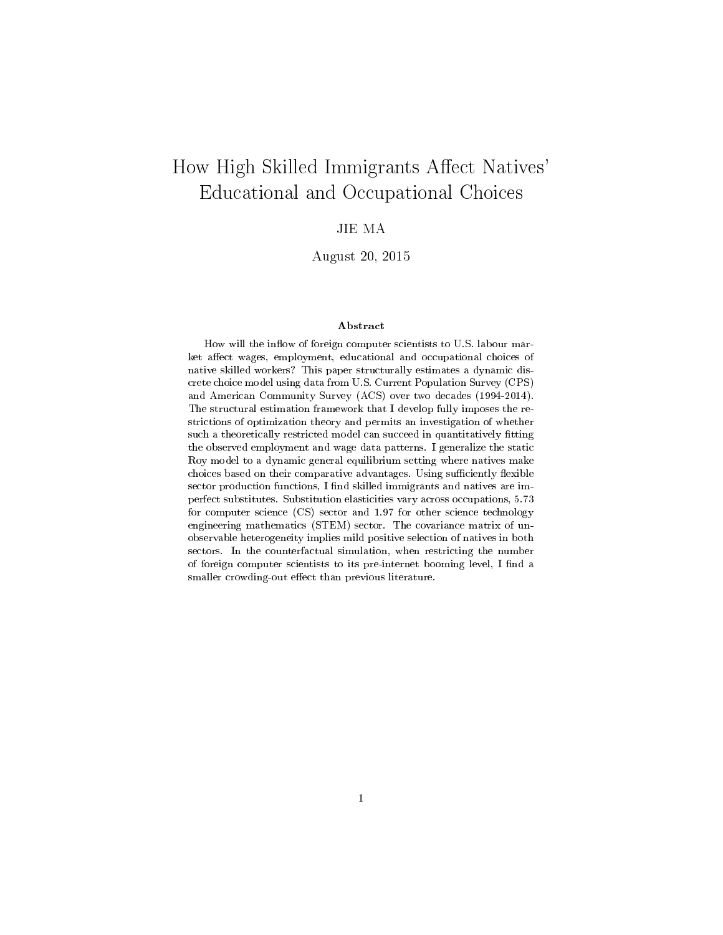# How High Skilled Immigrants Affect Natives' Educational and Occupational Choices

# JIE MA

August 20, 2015

#### Abstract

How will the inflow of foreign computer scientists to U.S. labour market affect wages, employment, educational and occupational choices of native skilled workers? This paper structurally estimates a dynamic discrete choice model using data from U.S. Current Population Survey (CPS) and American Community Survey (ACS) over two decades (1994-2014). The structural estimation framework that I develop fully imposes the restrictions of optimization theory and permits an investigation of whether such a theoretically restricted model can succeed in quantitatively fitting the observed employment and wage data patterns. I generalize the static Roy model to a dynamic general equilibrium setting where natives make choices based on their comparative advantages. Using sufficiently flexible sector production functions, I find skilled immigrants and natives are imperfect substitutes. Substitution elasticities vary across occupations, 5.73 for computer science (CS) sector and 1.97 for other science technology engineering mathematics (STEM) sector. The covariance matrix of unobservable heterogeneity implies mild positive selection of natives in both sectors. In the counterfactual simulation, when restricting the number of foreign computer scientists to its pre-internet booming level, I find a smaller crowding-out effect than previous literature.

1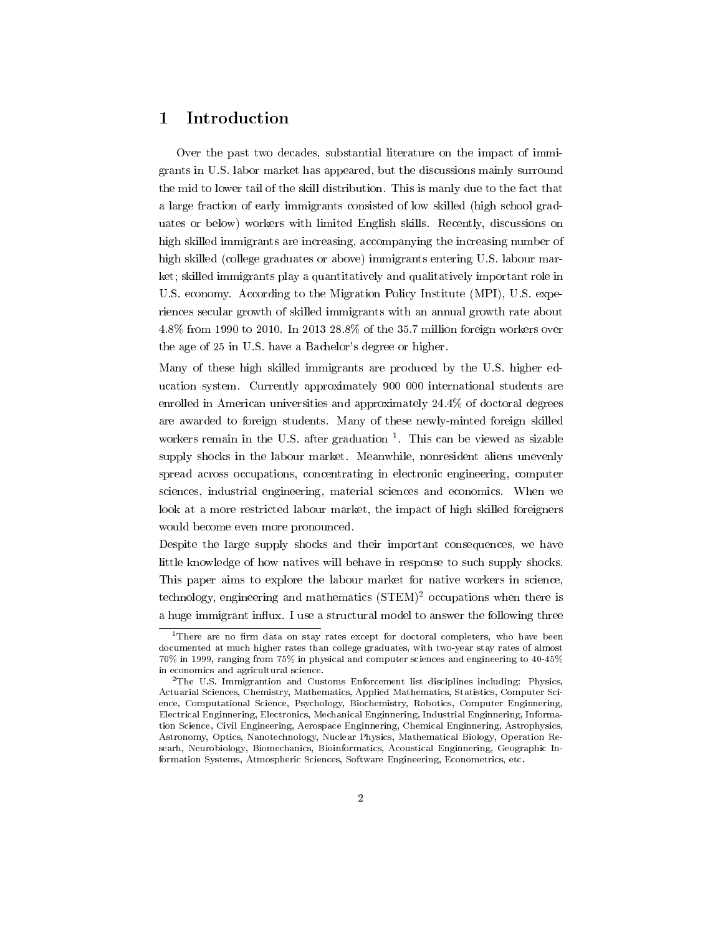# 1 Introduction

Over the past two decades, substantial literature on the impact of immigrants in U.S. labor market has appeared, but the discussions mainly surround the mid to lower tail of the skill distribution. This is manly due to the fact that a large fraction of early immigrants consisted of low skilled (high school graduates or below) workers with limited English skills. Recently, discussions on high skilled immigrants are increasing, accompanying the increasing number of high skilled (college graduates or above) immigrants entering U.S. labour market; skilled immigrants play a quantitatively and qualitatively important role in U.S. economy. According to the Migration Policy Institute (MPI), U.S. experiences secular growth of skilled immigrants with an annual growth rate about 4.8% from 1990 to 2010. In 2013 28.8% of the 35.7 million foreign workers over the age of 25 in U.S. have a Bachelor's degree or higher.

Many of these high skilled immigrants are produced by the U.S. higher education system. Currently approximately 900 000 international students are enrolled in American universities and approximately 24.4% of doctoral degrees are awarded to foreign students. Many of these newly-minted foreign skilled workers remain in the U.S. after graduation  $1$ . This can be viewed as sizable supply shocks in the labour market. Meanwhile, nonresident aliens unevenly spread across occupations, concentrating in electronic engineering, computer sciences, industrial engineering, material sciences and economics. When we look at a more restricted labour market, the impact of high skilled foreigners would become even more pronounced.

Despite the large supply shocks and their important consequences, we have little knowledge of how natives will behave in response to such supply shocks. This paper aims to explore the labour market for native workers in science, technology, engineering and mathematics (STEM)<sup>2</sup> occupations when there is a huge immigrant influx. I use a structural model to answer the following three

 $1$ There are no firm data on stay rates except for doctoral completers, who have been documented at much higher rates than college graduates, with two-year stay rates of almost 70% in 1999, ranging from 75% in physical and computer sciences and engineering to 40-45% in economics and agricultural science.

<sup>2</sup>The U.S. Immigrantion and Customs Enforcement list disciplines including: Physics, Actuarial Sciences, Chemistry, Mathematics, Applied Mathematics, Statistics, Computer Science, Computational Science, Psychology, Biochemistry, Robotics, Computer Enginnering, Electrical Enginnering, Electronics, Mechanical Enginnering, Industrial Enginnering, Information Science, Civil Engineering, Aerospace Enginnering, Chemical Enginnering, Astrophysics, Astronomy, Optics, Nanotechnology, Nuclear Physics, Mathematical Biology, Operation Researh, Neurobiology, Biomechanics, Bioinformatics, Acoustical Enginnering, Geographic Information Systems, Atmospheric Sciences, Software Engineering, Econometrics, etc.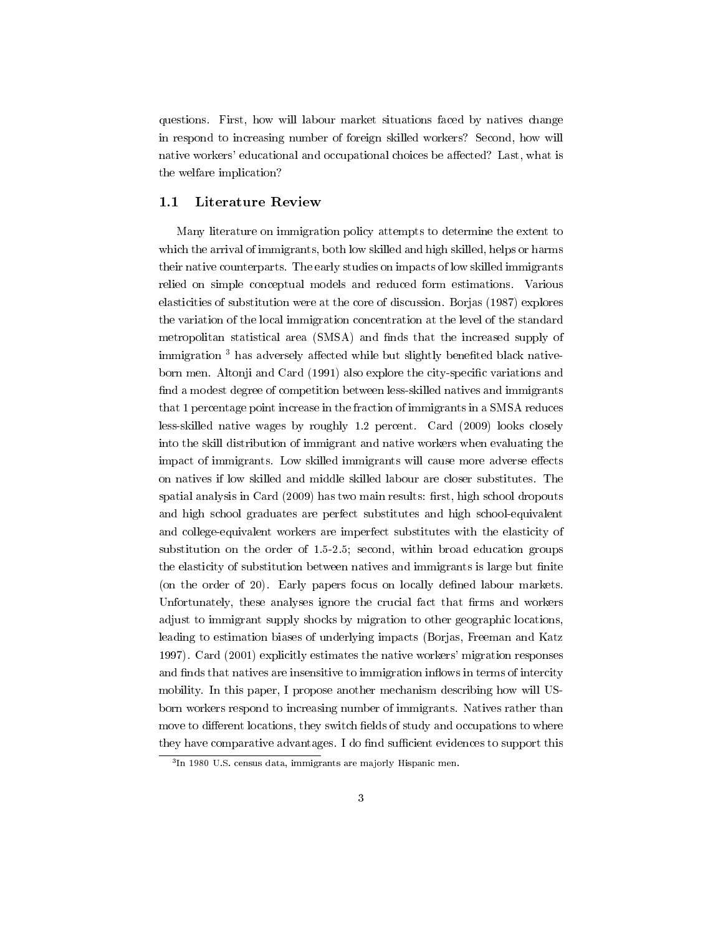questions. First, how will labour market situations faced by natives change in respond to increasing number of foreign skilled workers? Second, how will native workers' educational and occupational choices be affected? Last, what is the welfare implication?

#### 1.1 Literature Review

Many literature on immigration policy attempts to determine the extent to which the arrival of immigrants, both low skilled and high skilled, helps or harms their native counterparts. The early studies on impacts of low skilled immigrants relied on simple conceptual models and reduced form estimations. Various elasticities of substitution were at the core of discussion. Borjas (1987) explores the variation of the local immigration concentration at the level of the standard metropolitan statistical area (SMSA) and finds that the increased supply of immigration<sup>3</sup> has adversely affected while but slightly benefited black nativeborn men. Altonji and Card (1991) also explore the city-specific variations and find a modest degree of competition between less-skilled natives and immigrants that 1 percentage point increase in the fraction of immigrants in a SMSA reduces less-skilled native wages by roughly 1.2 percent. Card (2009) looks closely into the skill distribution of immigrant and native workers when evaluating the impact of immigrants. Low skilled immigrants will cause more adverse effects on natives if low skilled and middle skilled labour are closer substitutes. The spatial analysis in Card (2009) has two main results: first, high school dropouts and high school graduates are perfect substitutes and high school-equivalent and college-equivalent workers are imperfect substitutes with the elasticity of substitution on the order of 1.5-2.5; second, within broad education groups the elasticity of substitution between natives and immigrants is large but finite (on the order of 20). Early papers focus on locally defined labour markets. Unfortunately, these analyses ignore the crucial fact that firms and workers adjust to immigrant supply shocks by migration to other geographic locations, leading to estimation biases of underlying impacts (Borjas, Freeman and Katz 1997). Card (2001) explicitly estimates the native workers' migration responses and finds that natives are insensitive to immigration inflows in terms of intercity mobility. In this paper, I propose another mechanism describing how will USborn workers respond to increasing number of immigrants. Natives rather than move to different locations, they switch fields of study and occupations to where they have comparative advantages. I do find sufficient evidences to support this

<sup>3</sup> In 1980 U.S. census data, immigrants are majorly Hispanic men.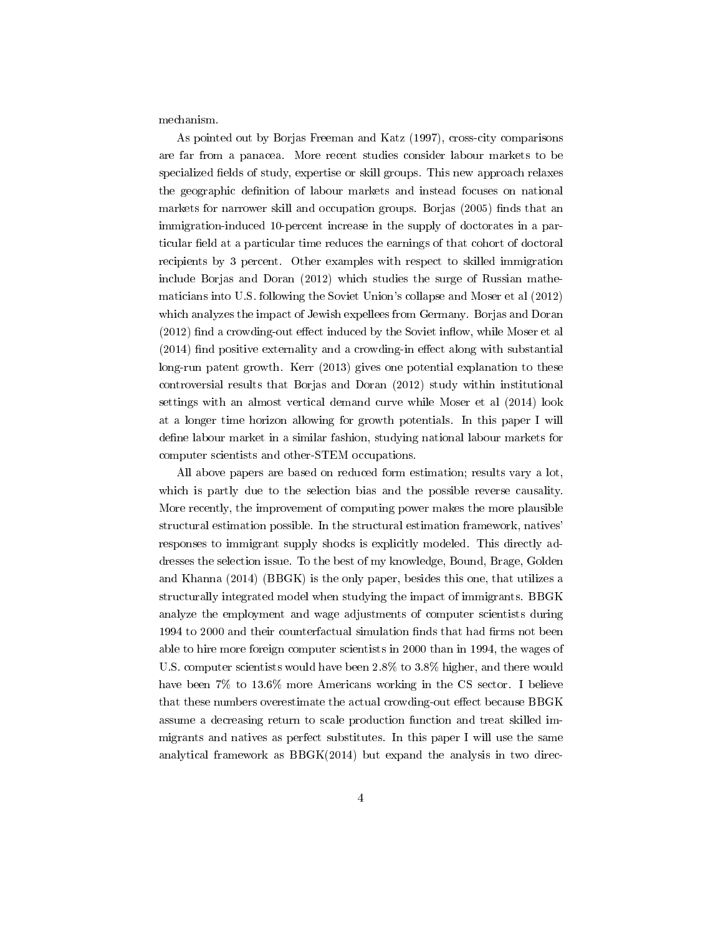mechanism.

As pointed out by Borjas Freeman and Katz (1997), cross-city comparisons are far from a panacea. More recent studies consider labour markets to be specialized fields of study, expertise or skill groups. This new approach relaxes the geographic definition of labour markets and instead focuses on national markets for narrower skill and occupation groups. Borjas (2005) finds that an immigration-induced 10-percent increase in the supply of doctorates in a particular field at a particular time reduces the earnings of that cohort of doctoral recipients by 3 percent. Other examples with respect to skilled immigration include Borjas and Doran (2012) which studies the surge of Russian mathematicians into U.S. following the Soviet Union's collapse and Moser et al (2012) which analyzes the impact of Jewish expellees from Germany. Borjas and Doran  $(2012)$  find a crowding-out effect induced by the Soviet inflow, while Moser et all  $(2014)$  find positive externality and a crowding-in effect along with substantial long-run patent growth. Kerr (2013) gives one potential explanation to these controversial results that Borjas and Doran (2012) study within institutional settings with an almost vertical demand curve while Moser et al (2014) look at a longer time horizon allowing for growth potentials. In this paper I will define labour market in a similar fashion, studying national labour markets for computer scientists and other-STEM occupations.

All above papers are based on reduced form estimation; results vary a lot, which is partly due to the selection bias and the possible reverse causality. More recently, the improvement of computing power makes the more plausible structural estimation possible. In the structural estimation framework, natives' responses to immigrant supply shocks is explicitly modeled. This directly addresses the selection issue. To the best of my knowledge, Bound, Brage, Golden and Khanna (2014) (BBGK) is the only paper, besides this one, that utilizes a structurally integrated model when studying the impact of immigrants. BBGK analyze the employment and wage adjustments of computer scientists during 1994 to 2000 and their counterfactual simulation finds that had firms not been able to hire more foreign computer scientists in 2000 than in 1994, the wages of U.S. computer scientists would have been 2.8% to 3.8% higher, and there would have been 7% to 13.6% more Americans working in the CS sector. I believe that these numbers overestimate the actual crowding-out effect because BBGK assume a decreasing return to scale production function and treat skilled immigrants and natives as perfect substitutes. In this paper I will use the same analytical framework as  $BBGK(2014)$  but expand the analysis in two direc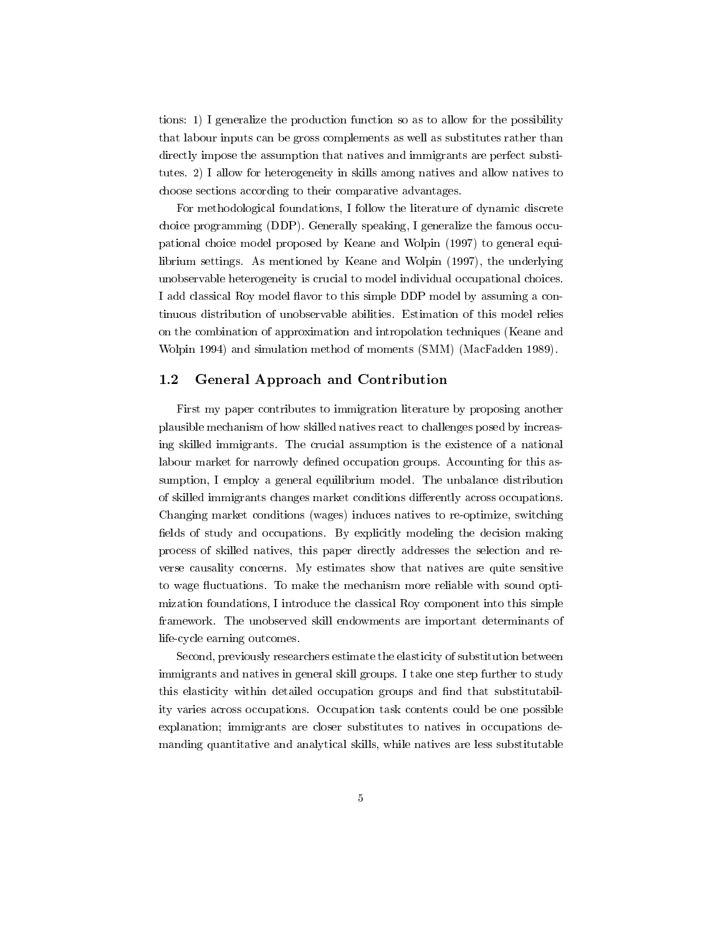tions: 1) I generalize the production function so as to allow for the possibility that labour inputs can be gross complements as well as substitutes rather than directly impose the assumption that natives and immigrants are perfect substitutes. 2) I allow for heterogeneity in skills among natives and allow natives to choose sections according to their comparative advantages.

For methodological foundations, I follow the literature of dynamic discrete choice programming (DDP). Generally speaking, I generalize the famous occupational choice model proposed by Keane and Wolpin (1997) to general equilibrium settings. As mentioned by Keane and Wolpin (1997), the underlying unobservable heterogeneity is crucial to model individual occupational choices. I add classical Roy model flavor to this simple DDP model by assuming a continuous distribution of unobservable abilities. Estimation of this model relies on the combination of approximation and intropolation techniques (Keane and Wolpin 1994) and simulation method of moments (SMM) (MacFadden 1989).

## 1.2 General Approach and Contribution

First my paper contributes to immigration literature by proposing another plausible mechanism of how skilled natives react to challenges posed by increasing skilled immigrants. The crucial assumption is the existence of a national labour market for narrowly defined occupation groups. Accounting for this assumption, I employ a general equilibrium model. The unbalance distribution of skilled immigrants changes market conditions dierently across occupations. Changing market conditions (wages) induces natives to re-optimize, switching fields of study and occupations. By explicitly modeling the decision making process of skilled natives, this paper directly addresses the selection and reverse causality concerns. My estimates show that natives are quite sensitive to wage fluctuations. To make the mechanism more reliable with sound optimization foundations, I introduce the classical Roy component into this simple framework. The unobserved skill endowments are important determinants of life-cycle earning outcomes.

Second, previously researchers estimate the elasticity of substitution between immigrants and natives in general skill groups. I take one step further to study this elasticity within detailed occupation groups and find that substitutability varies across occupations. Occupation task contents could be one possible explanation; immigrants are closer substitutes to natives in occupations demanding quantitative and analytical skills, while natives are less substitutable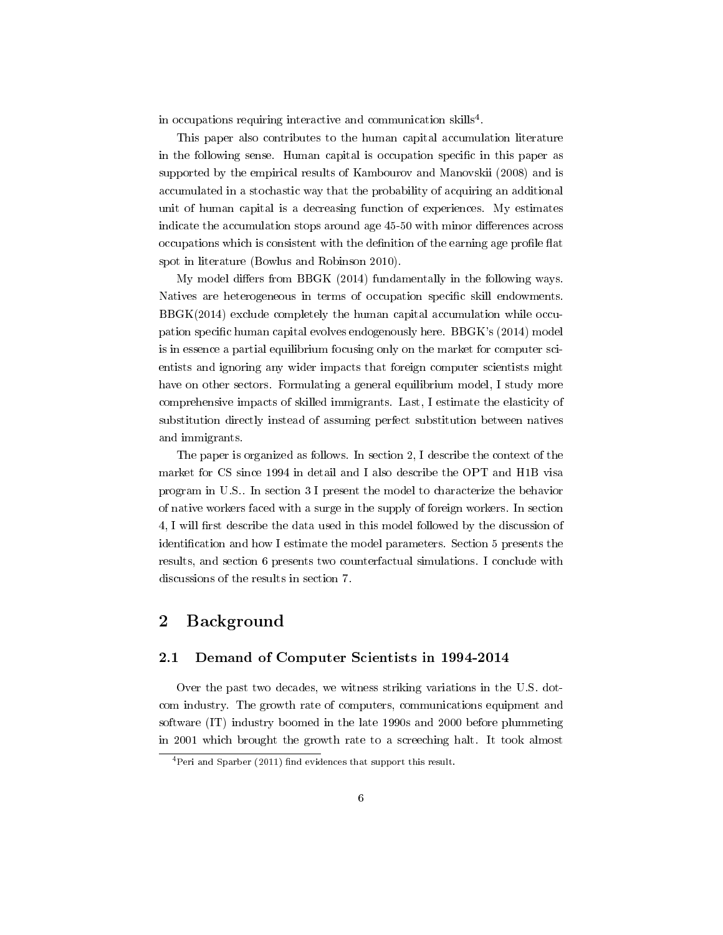in occupations requiring interactive and communication skills<sup>4</sup>.

This paper also contributes to the human capital accumulation literature in the following sense. Human capital is occupation specific in this paper as supported by the empirical results of Kambourov and Manovskii (2008) and is accumulated in a stochastic way that the probability of acquiring an additional unit of human capital is a decreasing function of experiences. My estimates indicate the accumulation stops around age 45-50 with minor differences across occupations which is consistent with the definition of the earning age profile flat spot in literature (Bowlus and Robinson 2010).

My model differs from BBGK  $(2014)$  fundamentally in the following ways. Natives are heterogeneous in terms of occupation specific skill endowments. BBGK(2014) exclude completely the human capital accumulation while occupation specific human capital evolves endogenously here. BBGK's (2014) model is in essence a partial equilibrium focusing only on the market for computer scientists and ignoring any wider impacts that foreign computer scientists might have on other sectors. Formulating a general equilibrium model, I study more comprehensive impacts of skilled immigrants. Last, I estimate the elasticity of substitution directly instead of assuming perfect substitution between natives and immigrants.

The paper is organized as follows. In section 2, I describe the context of the market for CS since 1994 in detail and I also describe the OPT and H1B visa program in U.S.. In section 3 I present the model to characterize the behavior of native workers faced with a surge in the supply of foreign workers. In section 4, I will first describe the data used in this model followed by the discussion of identification and how I estimate the model parameters. Section 5 presents the results, and section 6 presents two counterfactual simulations. I conclude with discussions of the results in section 7.

# 2 Background

#### 2.1 Demand of Computer Scientists in 1994-2014

Over the past two decades, we witness striking variations in the U.S. dotcom industry. The growth rate of computers, communications equipment and software (IT) industry boomed in the late 1990s and 2000 before plummeting in 2001 which brought the growth rate to a screeching halt. It took almost

 $4$ Peri and Sparber (2011) find evidences that support this result.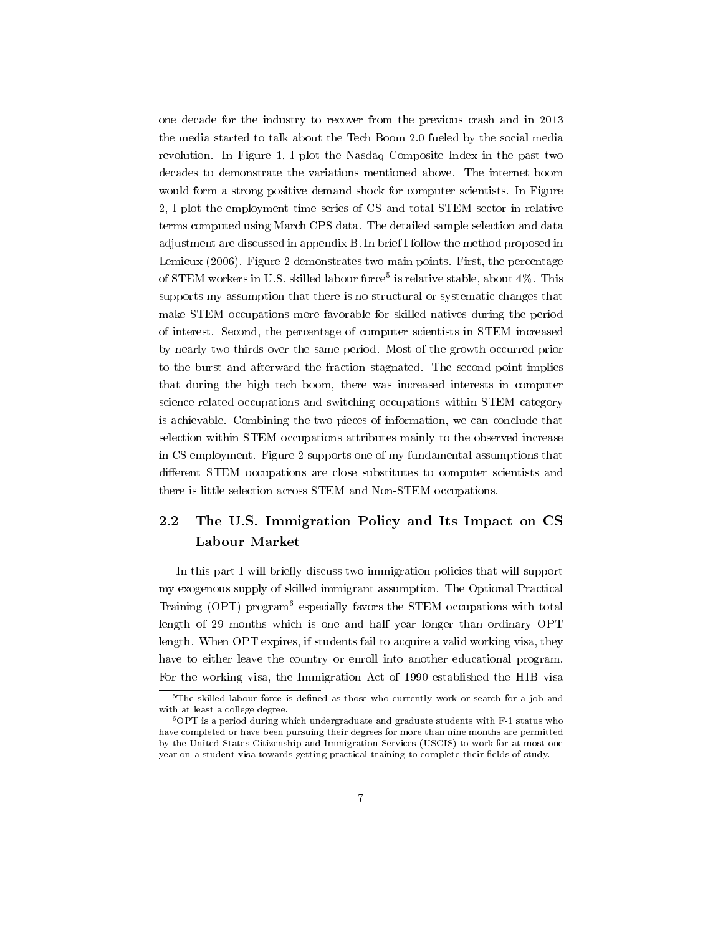one decade for the industry to recover from the previous crash and in 2013 the media started to talk about the Tech Boom 2.0 fueled by the social media revolution. In Figure 1, I plot the Nasdaq Composite Index in the past two decades to demonstrate the variations mentioned above. The internet boom would form a strong positive demand shock for computer scientists. In Figure 2, I plot the employment time series of CS and total STEM sector in relative terms computed using March CPS data. The detailed sample selection and data adjustment are discussed in appendix B. In brief I follow the method proposed in Lemieux (2006). Figure 2 demonstrates two main points. First, the percentage of STEM workers in U.S. skilled labour force<sup>5</sup> is relative stable, about  $4\%$ . This supports my assumption that there is no structural or systematic changes that make STEM occupations more favorable for skilled natives during the period of interest. Second, the percentage of computer scientists in STEM increased by nearly two-thirds over the same period. Most of the growth occurred prior to the burst and afterward the fraction stagnated. The second point implies that during the high tech boom, there was increased interests in computer science related occupations and switching occupations within STEM category is achievable. Combining the two pieces of information, we can conclude that selection within STEM occupations attributes mainly to the observed increase in CS employment. Figure 2 supports one of my fundamental assumptions that different STEM occupations are close substitutes to computer scientists and there is little selection across STEM and Non-STEM occupations.

# 2.2 The U.S. Immigration Policy and Its Impact on CS Labour Market

In this part I will briefly discuss two immigration policies that will support my exogenous supply of skilled immigrant assumption. The Optional Practical Training (OPT) program<sup>6</sup> especially favors the STEM occupations with total length of 29 months which is one and half year longer than ordinary OPT length. When OPT expires, if students fail to acquire a valid working visa, they have to either leave the country or enroll into another educational program. For the working visa, the Immigration Act of 1990 established the H1B visa

 $5$ The skilled labour force is defined as those who currently work or search for a job and with at least a college degree.

<sup>6</sup>OPT is a period during which undergraduate and graduate students with F-1 status who have completed or have been pursuing their degrees for more than nine months are permitted by the United States Citizenship and Immigration Services (USCIS) to work for at most one year on a student visa towards getting practical training to complete their fields of study.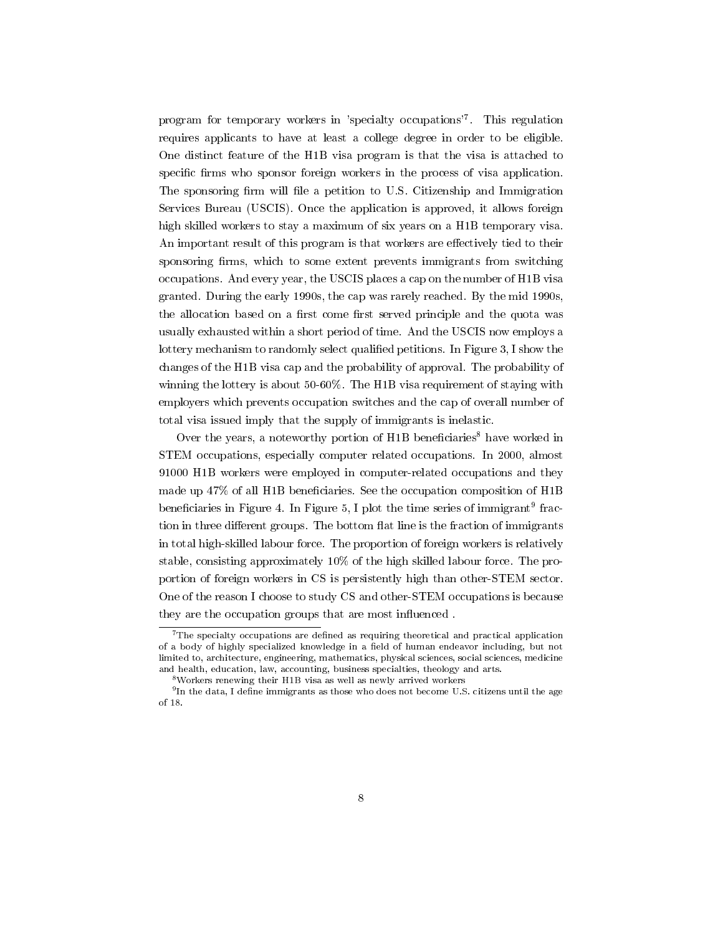program for temporary workers in 'specialty occupations'<sup>7</sup> . This regulation requires applicants to have at least a college degree in order to be eligible. One distinct feature of the H1B visa program is that the visa is attached to specific firms who sponsor foreign workers in the process of visa application. The sponsoring firm will file a petition to U.S. Citizenship and Immigration Services Bureau (USCIS). Once the application is approved, it allows foreign high skilled workers to stay a maximum of six years on a H1B temporary visa. An important result of this program is that workers are effectively tied to their sponsoring firms, which to some extent prevents immigrants from switching occupations. And every year, the USCIS places a cap on the number of H1B visa granted. During the early 1990s, the cap was rarely reached. By the mid 1990s, the allocation based on a first come first served principle and the quota was usually exhausted within a short period of time. And the USCIS now employs a lottery mechanism to randomly select qualified petitions. In Figure 3, I show the changes of the H1B visa cap and the probability of approval. The probability of winning the lottery is about 50-60%. The H1B visa requirement of staying with employers which prevents occupation switches and the cap of overall number of total visa issued imply that the supply of immigrants is inelastic.

Over the years, a noteworthy portion of H1B beneficiaries<sup>8</sup> have worked in STEM occupations, especially computer related occupations. In 2000, almost 91000 H1B workers were employed in computer-related occupations and they made up  $47\%$  of all H1B beneficiaries. See the occupation composition of H1B beneficiaries in Figure 4. In Figure 5, I plot the time series of immigrant<sup>9</sup> fraction in three different groups. The bottom flat line is the fraction of immigrants in total high-skilled labour force. The proportion of foreign workers is relatively stable, consisting approximately 10% of the high skilled labour force. The proportion of foreign workers in CS is persistently high than other-STEM sector. One of the reason I choose to study CS and other-STEM occupations is because they are the occupation groups that are most influenced.

 $7$ The specialty occupations are defined as requiring theoretical and practical application of a body of highly specialized knowledge in a field of human endeavor including, but not limited to, architecture, engineering, mathematics, physical sciences, social sciences, medicine and health, education, law, accounting, business specialties, theology and arts.

 $8$ Workers renewing their H1B visa as well as newly arrived workers

 $^{9}$ In the data, I define immigrants as those who does not become U.S. citizens until the age of 18.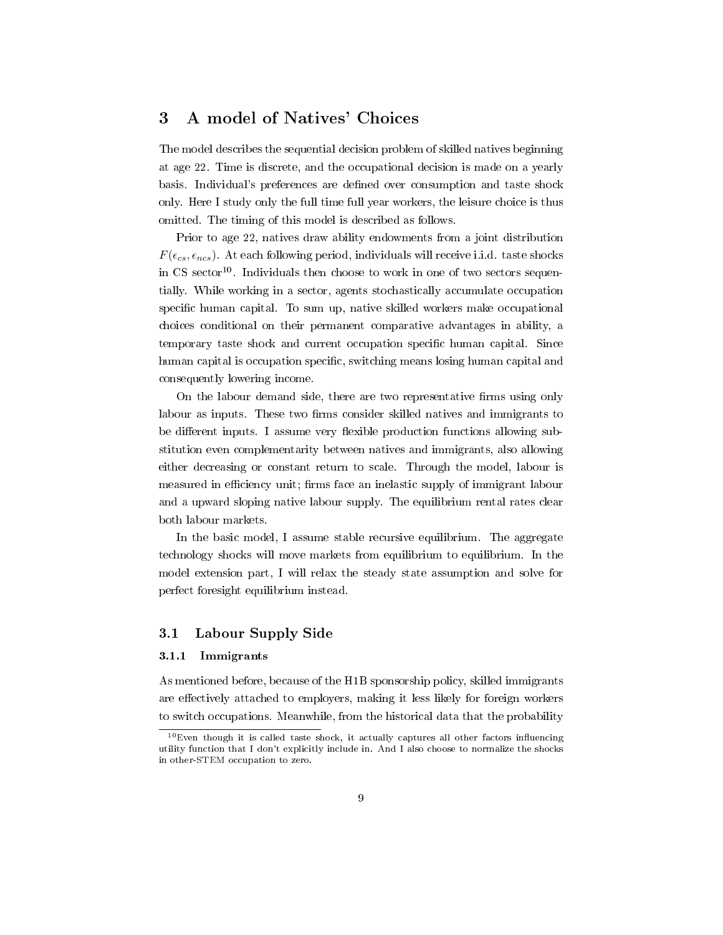# 3 A model of Natives' Choices

The model describes the sequential decision problem of skilled natives beginning at age 22. Time is discrete, and the occupational decision is made on a yearly basis. Individual's preferences are defined over consumption and taste shock only. Here I study only the full time full year workers, the leisure choice is thus omitted. The timing of this model is described as follows.

Prior to age 22, natives draw ability endowments from a joint distribution  $F(\epsilon_{cs}, \epsilon_{ncs})$ . At each following period, individuals will receive i.i.d. taste shocks in CS sector<sup>10</sup>. Individuals then choose to work in one of two sectors sequentially. While working in a sector, agents stochastically accumulate occupation specific human capital. To sum up, native skilled workers make occupational choices conditional on their permanent comparative advantages in ability, a temporary taste shock and current occupation specific human capital. Since human capital is occupation specific, switching means losing human capital and consequently lowering income.

On the labour demand side, there are two representative firms using only labour as inputs. These two firms consider skilled natives and immigrants to be different inputs. I assume very flexible production functions allowing substitution even complementarity between natives and immigrants, also allowing either decreasing or constant return to scale. Through the model, labour is measured in efficiency unit; firms face an inelastic supply of immigrant labour and a upward sloping native labour supply. The equilibrium rental rates clear both labour markets.

In the basic model, I assume stable recursive equilibrium. The aggregate technology shocks will move markets from equilibrium to equilibrium. In the model extension part, I will relax the steady state assumption and solve for perfect foresight equilibrium instead.

## 3.1 Labour Supply Side

#### 3.1.1 Immigrants

As mentioned before, because of the H1B sponsorship policy, skilled immigrants are effectively attached to employers, making it less likely for foreign workers to switch occupations. Meanwhile, from the historical data that the probability

 $10$ Even though it is called taste shock, it actually captures all other factors influencing utility function that I don't explicitly include in. And I also choose to normalize the shocks in other-STEM occupation to zero.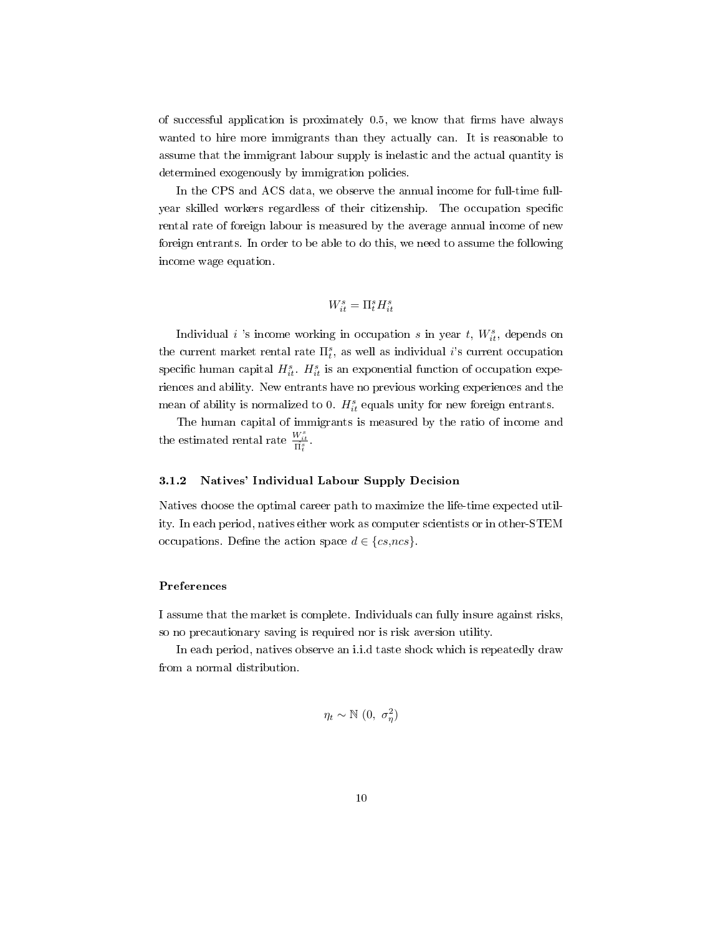of successful application is proximately  $0.5$ , we know that firms have always wanted to hire more immigrants than they actually can. It is reasonable to assume that the immigrant labour supply is inelastic and the actual quantity is determined exogenously by immigration policies.

In the CPS and ACS data, we observe the annual income for full-time fullyear skilled workers regardless of their citizenship. The occupation specific rental rate of foreign labour is measured by the average annual income of new foreign entrants. In order to be able to do this, we need to assume the following income wage equation.

# $W_{it}^s = \Pi_t^s H_{it}^s$

Individual *i* 's income working in occupation *s* in year *t*,  $W_{it}^s$ , depends on the current market rental rate  $\Pi_t^s$ , as well as individual *i*'s current occupation specific human capital  $H_{it}^s$ .  $H_{it}^s$  is an exponential function of occupation experiences and ability. New entrants have no previous working experiences and the mean of ability is normalized to 0.  $H_{it}^s$  equals unity for new foreign entrants.

The human capital of immigrants is measured by the ratio of income and the estimated rental rate  $\frac{W_{it}^s}{\hat{\Pi}_t^s}$ .

## 3.1.2 Natives' Individual Labour Supply Decision

Natives choose the optimal career path to maximize the life-time expected utility. In each period, natives either work as computer scientists or in other-STEM occupations. Define the action space  $d \in \{cs, ncs\}$ .

#### Preferences

I assume that the market is complete. Individuals can fully insure against risks, so no precautionary saving is required nor is risk aversion utility.

In each period, natives observe an i.i.d taste shock which is repeatedly draw from a normal distribution.

$$
\eta_t \sim \mathbb{N} \ (0, \ \sigma_\eta^2)
$$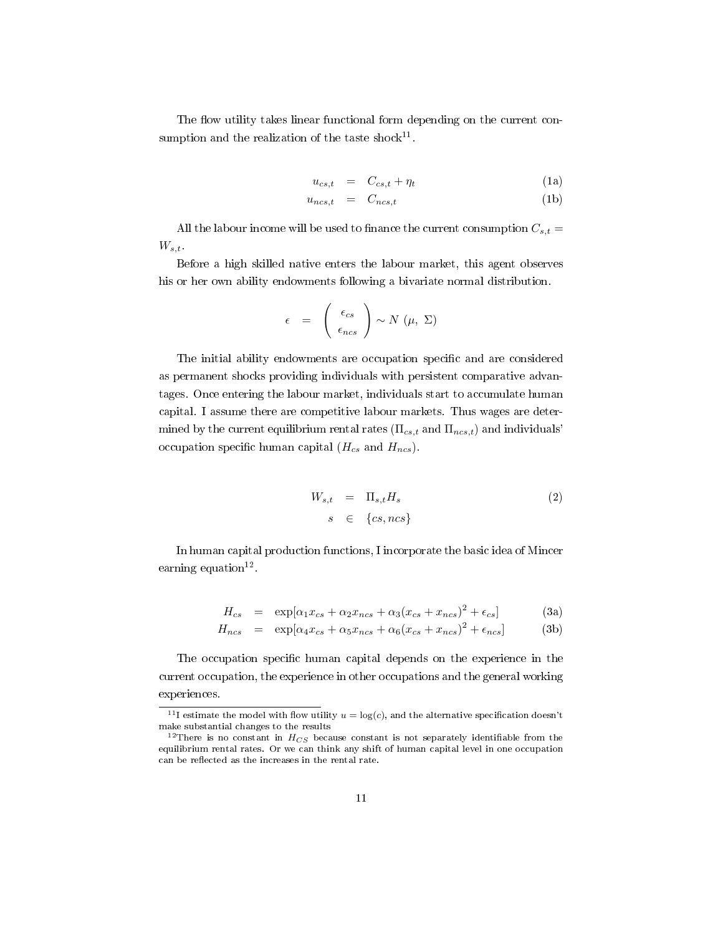The flow utility takes linear functional form depending on the current consumption and the realization of the taste shock<sup>11</sup>.

$$
u_{cs,t} = C_{cs,t} + \eta_t \tag{1a}
$$

$$
u_{ncs,t} = C_{ncs,t} \tag{1b}
$$

All the labour income will be used to finance the current consumption  $C_{s,t}$  =  $W_{s,t}$ .

Before a high skilled native enters the labour market, this agent observes his or her own ability endowments following a bivariate normal distribution.

$$
\epsilon = \begin{pmatrix} \epsilon_{cs} \\ \epsilon_{ncs} \end{pmatrix} \sim N(\mu, \Sigma)
$$

The initial ability endowments are occupation specific and are considered as permanent shocks providing individuals with persistent comparative advantages. Once entering the labour market, individuals start to accumulate human capital. I assume there are competitive labour markets. Thus wages are determined by the current equilibrium rental rates ( $\Pi_{cs,t}$  and  $\Pi_{ncs,t}$ ) and individuals<sup>'</sup> occupation specific human capital  $(H_{cs}$  and  $H_{ncs})$ .

$$
W_{s,t} = \Pi_{s,t} H_s \tag{2}
$$

$$
s \in \{cs, ncs\}
$$

In human capital production functions, I incorporate the basic idea of Mincer earning equation<sup>12</sup>.

$$
H_{cs} = \exp[\alpha_1 x_{cs} + \alpha_2 x_{ncs} + \alpha_3 (x_{cs} + x_{ncs})^2 + \epsilon_{cs}] \tag{3a}
$$

$$
H_{ncs} = \exp[\alpha_4 x_{cs} + \alpha_5 x_{ncs} + \alpha_6 (x_{cs} + x_{ncs})^2 + \epsilon_{ncs}] \tag{3b}
$$

The occupation specific human capital depends on the experience in the current occupation, the experience in other occupations and the general working experiences.

<sup>&</sup>lt;sup>11</sup>I estimate the model with flow utility  $u = \log(c)$ , and the alternative specification doesn't make substantial changes to the results

<sup>&</sup>lt;sup>12</sup>There is no constant in  $H_{CS}$  because constant is not separately identifiable from the equilibrium rental rates. Or we can think any shift of human capital level in one occupation can be reflected as the increases in the rental rate.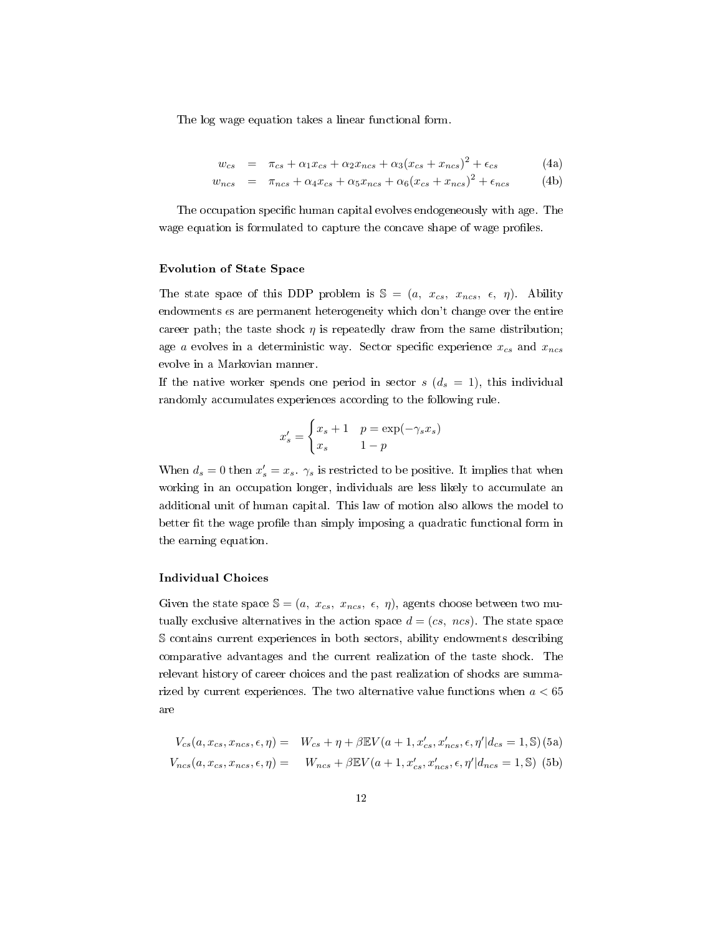The log wage equation takes a linear functional form.

$$
w_{cs} = \pi_{cs} + \alpha_1 x_{cs} + \alpha_2 x_{ncs} + \alpha_3 (x_{cs} + x_{ncs})^2 + \epsilon_{cs}
$$
(4a)

$$
w_{ncs} = \pi_{ncs} + \alpha_4 x_{cs} + \alpha_5 x_{ncs} + \alpha_6 (x_{cs} + x_{ncs})^2 + \epsilon_{ncs}
$$
 (4b)

The occupation specific human capital evolves endogeneously with age. The wage equation is formulated to capture the concave shape of wage profiles.

#### Evolution of State Space

The state space of this DDP problem is  $\mathbb{S} = (a, x_{cs}, x_{ncs}, \epsilon, \eta)$ . Ability endowments  $\epsilon s$  are permanent heterogeneity which don't change over the entire career path; the taste shock  $\eta$  is repeatedly draw from the same distribution; age a evolves in a deterministic way. Sector specific experience  $x_{cs}$  and  $x_{ncs}$ evolve in a Markovian manner.

If the native worker spends one period in sector  $s$   $(d_s = 1)$ , this individual randomly accumulates experiences according to the following rule.

$$
x'_{s} = \begin{cases} x_{s} + 1 & p = \exp(-\gamma_{s}x_{s})\\ x_{s} & 1 - p \end{cases}
$$

When  $d_s = 0$  then  $x'_s = x_s$ .  $\gamma_s$  is restricted to be positive. It implies that when working in an occupation longer, individuals are less likely to accumulate an additional unit of human capital. This law of motion also allows the model to better fit the wage profile than simply imposing a quadratic functional form in the earning equation.

#### Individual Choices

Given the state space  $\mathcal{S} = (a, x_{cs}, x_{ncs}, \epsilon, \eta)$ , agents choose between two mutually exclusive alternatives in the action space  $d = (cs, ncs)$ . The state space S contains current experiences in both sectors, ability endowments describing comparative advantages and the current realization of the taste shock. The relevant history of career choices and the past realization of shocks are summarized by current experiences. The two alternative value functions when  $a < 65$ are

$$
V_{cs}(a, x_{cs}, x_{ncs}, \epsilon, \eta) = W_{cs} + \eta + \beta \mathbb{E}V(a+1, x_{cs}', x_{ncs}', \epsilon, \eta'|d_{cs} = 1, \mathbb{S})
$$
(5a)  

$$
V_{ncs}(a, x_{cs}, x_{ncs}, \epsilon, \eta) = W_{ncs} + \beta \mathbb{E}V(a+1, x_{cs}', x_{ncs}', \epsilon, \eta'|d_{ncs} = 1, \mathbb{S})
$$
(5b)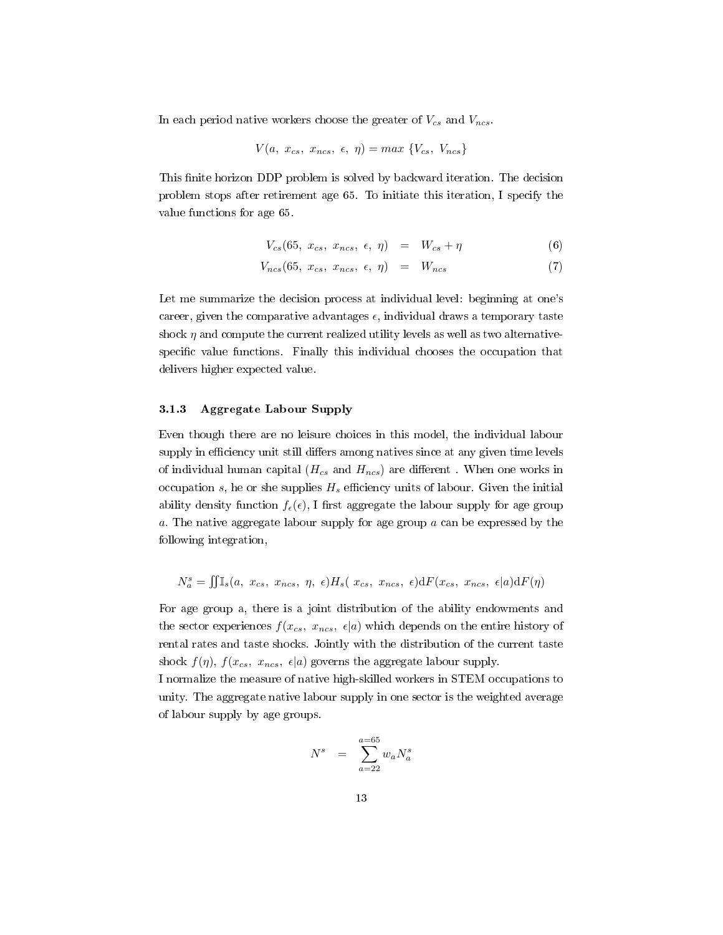In each period native workers choose the greater of  $V_{cs}$  and  $V_{ncs}$ .

$$
V(a, x_{cs}, x_{ncs}, \epsilon, \eta) = max \{V_{cs}, V_{ncs}\}\
$$

This finite horizon DDP problem is solved by backward iteration. The decision problem stops after retirement age 65. To initiate this iteration, I specify the value functions for age 65.

$$
V_{cs}(65, x_{cs}, x_{ncs}, \epsilon, \eta) = W_{cs} + \eta \tag{6}
$$

$$
V_{ncs}(65, x_{cs}, x_{ncs}, \epsilon, \eta) = W_{ncs} \tag{7}
$$

Let me summarize the decision process at individual level: beginning at one's career, given the comparative advantages  $\epsilon$ , individual draws a temporary taste shock  $\eta$  and compute the current realized utility levels as well as two alternativespecific value functions. Finally this individual chooses the occupation that delivers higher expected value.

## 3.1.3 Aggregate Labour Supply

Even though there are no leisure choices in this model, the individual labour supply in efficiency unit still differs among natives since at any given time levels of individual human capital  $(H_{cs}$  and  $H_{ncs})$  are different. When one works in occupation s, he or she supplies  $H_s$  efficiency units of labour. Given the initial ability density function  $f_{\epsilon}(\epsilon)$ , I first aggregate the labour supply for age group a. The native aggregate labour supply for age group a can be expressed by the following integration,

$$
N_a^s = \iint \mathbb{I}_s(a, x_{cs}, x_{ncs}, \eta, \epsilon) H_s(x_{cs}, x_{ncs}, \epsilon) \, dF(x_{cs}, x_{ncs}, \epsilon | a) \, dF(\eta)
$$

For age group a, there is a joint distribution of the ability endowments and the sector experiences  $f(x_{cs}, x_{ncs}, \epsilon | a)$  which depends on the entire history of rental rates and taste shocks. Jointly with the distribution of the current taste shock  $f(\eta)$ ,  $f(x_{cs}, x_{ncs}, \epsilon | a)$  governs the aggregate labour supply.

I normalize the measure of native high-skilled workers in STEM occupations to unity. The aggregate native labour supply in one sector is the weighted average of labour supply by age groups.

$$
N^s = \sum_{a=22}^{a=65} w_a N_a^s
$$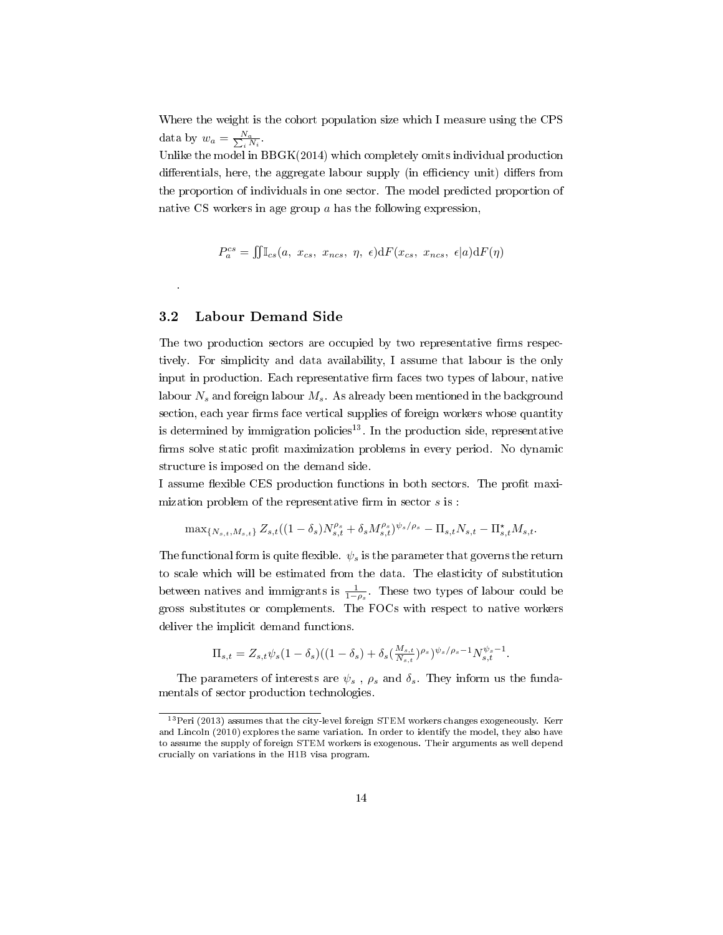Where the weight is the cohort population size which I measure using the CPS data by  $w_a = \frac{N_a}{\sum_i N_i}$ .

Unlike the model in BBGK(2014) which completely omits individual production differentials, here, the aggregate labour supply (in efficiency unit) differs from the proportion of individuals in one sector. The model predicted proportion of native CS workers in age group a has the following expression,

$$
P_a^{cs} = \iint \mathbb{I}_{cs}(a, x_{cs}, x_{ncs}, \eta, \epsilon) \, dF(x_{cs}, x_{ncs}, \epsilon | a) \, dF(\eta)
$$

## 3.2 Labour Demand Side

.

The two production sectors are occupied by two representative firms respectively. For simplicity and data availability, I assume that labour is the only input in production. Each representative firm faces two types of labour, native labour  $N_s$  and foreign labour  $M_s$ . As already been mentioned in the background section, each year firms face vertical supplies of foreign workers whose quantity is determined by immigration policies<sup>13</sup>. In the production side, representative firms solve static profit maximization problems in every period. No dynamic structure is imposed on the demand side.

I assume flexible CES production functions in both sectors. The profit maximization problem of the representative firm in sector  $s$  is :

$$
\max_{\{N_{s,t},M_{s,t}\}} Z_{s,t}((1-\delta_s)N_{s,t}^{\rho_s} + \delta_s M_{s,t}^{\rho_s})^{\psi_s/\rho_s} - \Pi_{s,t} N_{s,t} - \Pi_{s,t}^{\star} M_{s,t}.
$$

The functional form is quite flexible.  $\psi_s$  is the parameter that governs the return to scale which will be estimated from the data. The elasticity of substitution between natives and immigrants is  $\frac{1}{1-\rho_s}$ . These two types of labour could be gross substitutes or complements. The FOCs with respect to native workers deliver the implicit demand functions.

$$
\Pi_{s,t} = Z_{s,t} \psi_s (1 - \delta_s) ((1 - \delta_s) + \delta_s (\frac{M_{s,t}}{N_{s,t}})^{\rho_s})^{\psi_s/\rho_s - 1} N_{s,t}^{\psi_s - 1}.
$$

The parameters of interests are  $\psi_s$ ,  $\rho_s$  and  $\delta_s$ . They inform us the fundamentals of sector production technologies.

 $13$ Peri (2013) assumes that the city-level foreign STEM workers changes exogeneously. Kerr and Lincoln (2010) explores the same variation. In order to identify the model, they also have to assume the supply of foreign STEM workers is exogenous. Their arguments as well depend crucially on variations in the H1B visa program.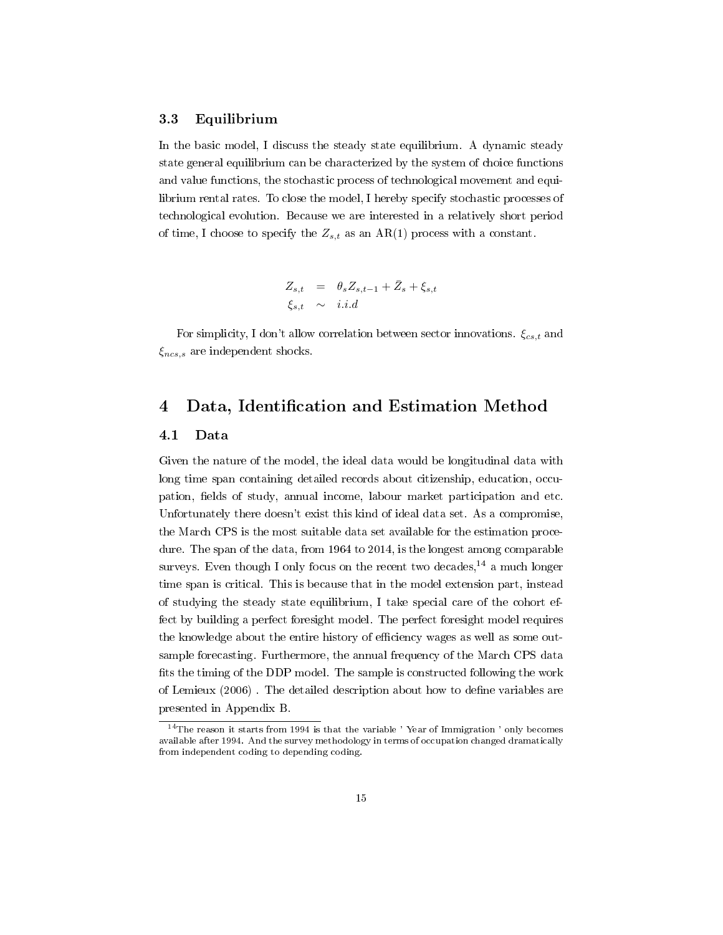#### 3.3 Equilibrium

In the basic model, I discuss the steady state equilibrium. A dynamic steady state general equilibrium can be characterized by the system of choice functions and value functions, the stochastic process of technological movement and equilibrium rental rates. To close the model, I hereby specify stochastic processes of technological evolution. Because we are interested in a relatively short period of time, I choose to specify the  $Z_{s,t}$  as an AR(1) process with a constant.

$$
Z_{s,t} = \theta_s Z_{s,t-1} + \bar{Z}_s + \xi_{s,t}
$$
  

$$
\xi_{s,t} \sim i.i.d
$$

For simplicity, I don't allow correlation between sector innovations.  $\xi_{cs,t}$  and  $\xi_{ncs,s}$  are independent shocks.

## 4 Data, Identification and Estimation Method

## 4.1 Data

Given the nature of the model, the ideal data would be longitudinal data with long time span containing detailed records about citizenship, education, occupation, fields of study, annual income, labour market participation and etc. Unfortunately there doesn't exist this kind of ideal data set. As a compromise, the March CPS is the most suitable data set available for the estimation procedure. The span of the data, from 1964 to 2014, is the longest among comparable surveys. Even though I only focus on the recent two decades,  $14$  a much longer time span is critical. This is because that in the model extension part, instead of studying the steady state equilibrium, I take special care of the cohort effect by building a perfect foresight model. The perfect foresight model requires the knowledge about the entire history of efficiency wages as well as some outsample forecasting. Furthermore, the annual frequency of the March CPS data fits the timing of the DDP model. The sample is constructed following the work of Lemieux (2006). The detailed description about how to define variables are presented in Appendix B.

<sup>&</sup>lt;sup>14</sup>The reason it starts from 1994 is that the variable 'Year of Immigration ' only becomes available after 1994. And the survey methodology in terms of occupation changed dramatically from independent coding to depending coding.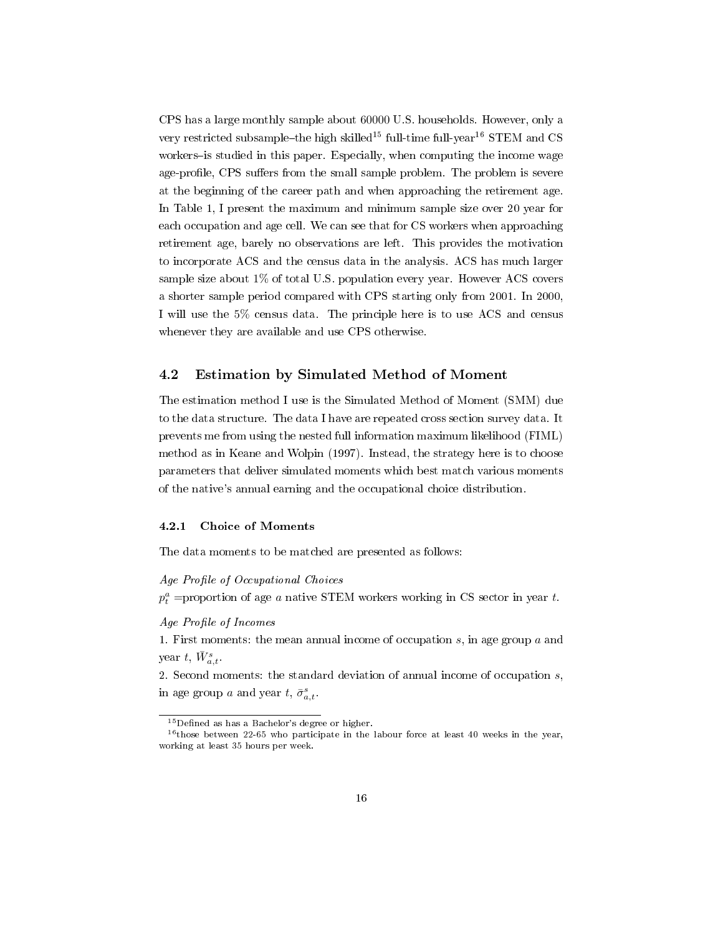CPS has a large monthly sample about 60000 U.S. households. However, only a very restricted subsample-the high skilled<sup>15</sup> full-time full-year<sup>16</sup> STEM and CS workers-is studied in this paper. Especially, when computing the income wage age-profile, CPS suffers from the small sample problem. The problem is severe at the beginning of the career path and when approaching the retirement age. In Table 1, I present the maximum and minimum sample size over 20 year for each occupation and age cell. We can see that for CS workers when approaching retirement age, barely no observations are left. This provides the motivation to incorporate ACS and the census data in the analysis. ACS has much larger sample size about 1% of total U.S. population every year. However ACS covers a shorter sample period compared with CPS starting only from 2001. In 2000, I will use the 5% census data. The principle here is to use ACS and census whenever they are available and use CPS otherwise.

## 4.2 Estimation by Simulated Method of Moment

The estimation method I use is the Simulated Method of Moment (SMM) due to the data structure. The data I have are repeated cross section survey data. It prevents me from using the nested full information maximum likelihood (FIML) method as in Keane and Wolpin (1997). Instead, the strategy here is to choose parameters that deliver simulated moments which best match various moments of the native's annual earning and the occupational choice distribution.

#### 4.2.1 Choice of Moments

The data moments to be matched are presented as follows:

Age Profile of Occupational Choices

 $p_t^a$  =proportion of age a native STEM workers working in CS sector in year t.

Age Profile of Incomes

1. First moments: the mean annual income of occupation  $s$ , in age group  $a$  and year t,  $\bar{W}^s_{a,t}$ .

2. Second moments: the standard deviation of annual income of occupation  $s$ , in age group a and year  $t, \bar{\sigma}_{a,t}^s$ .

 $15$ Defined as has a Bachelor's degree or higher.

 $16$ those between 22-65 who participate in the labour force at least 40 weeks in the year, working at least 35 hours per week.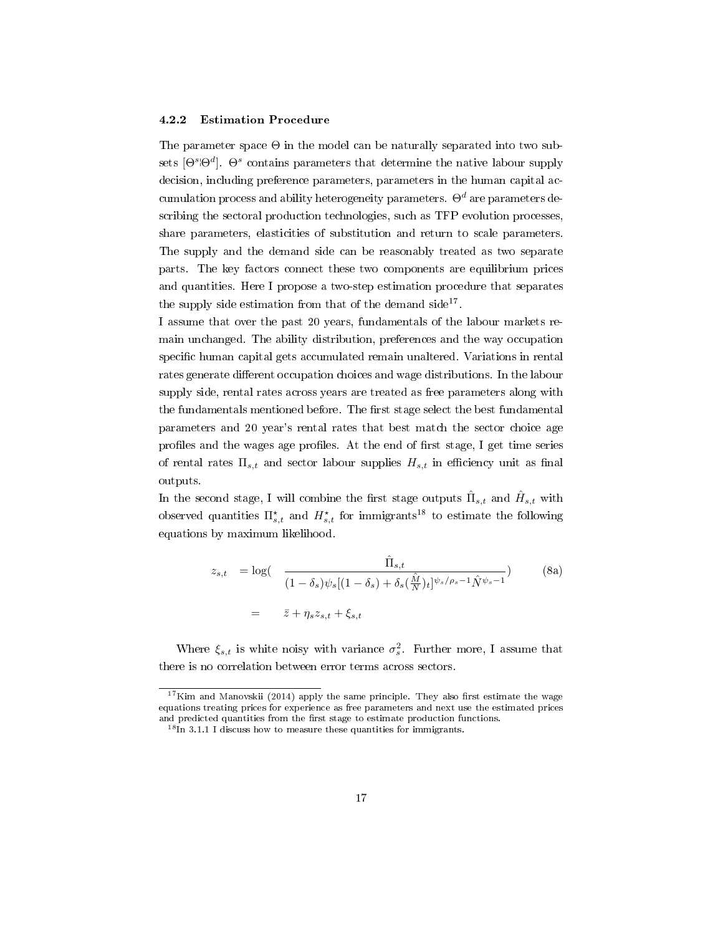#### 4.2.2 Estimation Procedure

The parameter space  $\Theta$  in the model can be naturally separated into two subsets  $[\Theta^s \Theta^d]$ .  $\Theta^s$  contains parameters that determine the native labour supply decision, including preference parameters, parameters in the human capital accumulation process and ability heterogeneity parameters.  $\Theta^d$  are parameters describing the sectoral production technologies, such as TFP evolution processes, share parameters, elasticities of substitution and return to scale parameters. The supply and the demand side can be reasonably treated as two separate parts. The key factors connect these two components are equilibrium prices and quantities. Here I propose a two-step estimation procedure that separates the supply side estimation from that of the demand  $side^{17}$ .

I assume that over the past 20 years, fundamentals of the labour markets remain unchanged. The ability distribution, preferences and the way occupation specific human capital gets accumulated remain unaltered. Variations in rental rates generate different occupation choices and wage distributions. In the labour supply side, rental rates across years are treated as free parameters along with the fundamentals mentioned before. The first stage select the best fundamental parameters and 20 year's rental rates that best match the sector choice age profiles and the wages age profiles. At the end of first stage, I get time series of rental rates  $\Pi_{s,t}$  and sector labour supplies  $H_{s,t}$  in efficiency unit as final outputs.

In the second stage, I will combine the first stage outputs  $\hat{\Pi}_{s,t}$  and  $\hat{H}_{s,t}$  with observed quantities  $\Pi_{s,t}^{\star}$  and  $H_{s,t}^{\star}$  for immigrants<sup>18</sup> to estimate the following equations by maximum likelihood.

$$
z_{s,t} = \log(\frac{\hat{\Pi}_{s,t}}{(1 - \delta_s)\psi_s[(1 - \delta_s) + \delta_s(\frac{\hat{M}}{N})_t]^{\psi_s/\rho_s - 1}\hat{N}^{\psi_s - 1}})
$$
(8a)  
=  $\bar{z} + \eta_s z_{s,t} + \xi_{s,t}$ 

Where  $\xi_{s,t}$  is white noisy with variance  $\sigma_s^2$ . Further more, I assume that there is no correlation between error terms across sectors.

 $17$ Kim and Manovskii (2014) apply the same principle. They also first estimate the wage equations treating prices for experience as free parameters and next use the estimated prices and predicted quantities from the first stage to estimate production functions.

 $18$ In 3.1.1 I discuss how to measure these quantities for immigrants.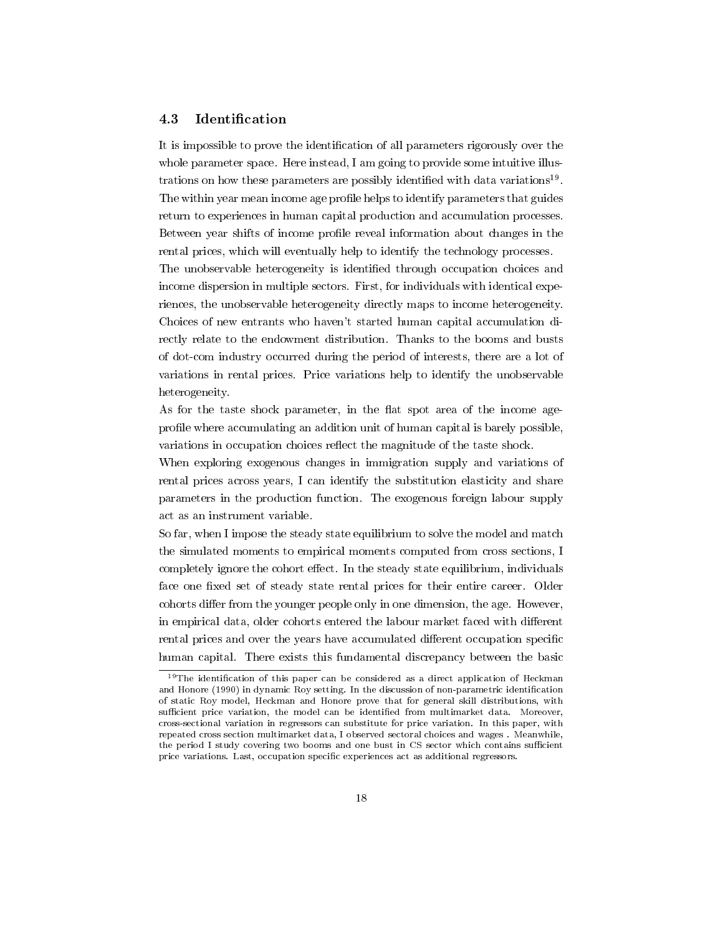## 4.3 Identification

It is impossible to prove the identification of all parameters rigorously over the whole parameter space. Here instead, I am going to provide some intuitive illustrations on how these parameters are possibly identified with data variations<sup>19</sup>. The within year mean income age profile helps to identify parameters that guides return to experiences in human capital production and accumulation processes. Between year shifts of income profile reveal information about changes in the rental prices, which will eventually help to identify the technology processes.

The unobservable heterogeneity is identified through occupation choices and income dispersion in multiple sectors. First, for individuals with identical experiences, the unobservable heterogeneity directly maps to income heterogeneity. Choices of new entrants who haven't started human capital accumulation directly relate to the endowment distribution. Thanks to the booms and busts of dot-com industry occurred during the period of interests, there are a lot of variations in rental prices. Price variations help to identify the unobservable heterogeneity.

As for the taste shock parameter, in the flat spot area of the income ageprofile where accumulating an addition unit of human capital is barely possible, variations in occupation choices reflect the magnitude of the taste shock.

When exploring exogenous changes in immigration supply and variations of rental prices across years, I can identify the substitution elasticity and share parameters in the production function. The exogenous foreign labour supply act as an instrument variable.

So far, when I impose the steady state equilibrium to solve the model and match the simulated moments to empirical moments computed from cross sections, I completely ignore the cohort effect. In the steady state equilibrium, individuals face one fixed set of steady state rental prices for their entire career. Older cohorts differ from the younger people only in one dimension, the age. However, in empirical data, older cohorts entered the labour market faced with different rental prices and over the years have accumulated different occupation specific human capital. There exists this fundamental discrepancy between the basic

 $19$ The identification of this paper can be considered as a direct application of Heckman and Honore (1990) in dynamic Roy setting. In the discussion of non-parametric identification of static Roy model, Heckman and Honore prove that for general skill distributions, with sufficient price variation, the model can be identified from multimarket data. Moreover, cross-sectional variation in regressors can substitute for price variation. In this paper, with repeated cross section multimarket data, I observed sectoral choices and wages . Meanwhile, the period I study covering two booms and one bust in CS sector which contains sufficient price variations. Last, occupation specific experiences act as additional regressors.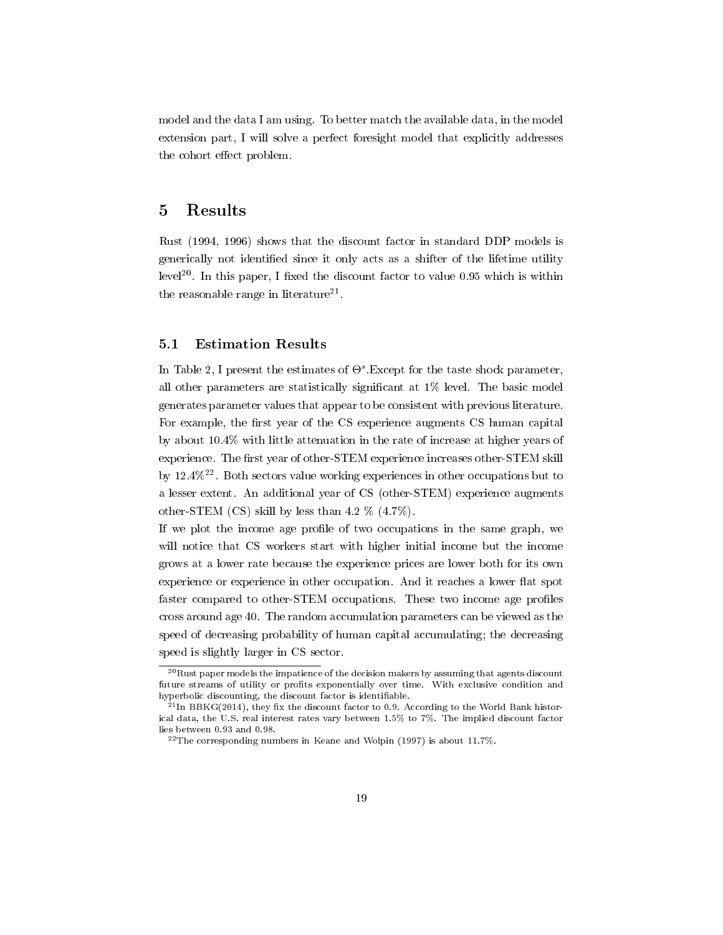model and the data I am using. To better match the available data, in the model extension part, I will solve a perfect foresight model that explicitly addresses the cohort effect problem.

## 5 Results

Rust (1994, 1996) shows that the discount factor in standard DDP models is generically not identified since it only acts as a shifter of the lifetime utility level<sup>20</sup>. In this paper, I fixed the discount factor to value 0.95 which is within the reasonable range in literature $^{21}$ .

## 5.1 Estimation Results

In Table 2, I present the estimates of  $\Theta^s$ . Except for the taste shock parameter, all other parameters are statistically significant at  $1\%$  level. The basic model generates parameter values that appear to be consistent with previous literature. For example, the first year of the CS experience augments CS human capital by about 10.4% with little attenuation in the rate of increase at higher years of experience. The first year of other-STEM experience increases other-STEM skill by  $12.4\%$ <sup>22</sup>. Both sectors value working experiences in other occupations but to a lesser extent. An additional year of CS (other-STEM) experience augments other-STEM (CS) skill by less than 4.2 % (4.7%).

If we plot the income age profile of two occupations in the same graph, we will notice that CS workers start with higher initial income but the income grows at a lower rate because the experience prices are lower both for its own experience or experience in other occupation. And it reaches a lower flat spot faster compared to other-STEM occupations. These two income age profiles cross around age 40. The random accumulation parameters can be viewed as the speed of decreasing probability of human capital accumulating; the decreasing speed is slightly larger in CS sector.

 $^{20}$ Rust paper models the impatience of the decision makers by assuming that agents discount future streams of utility or profits exponentially over time. With exclusive condition and hyperbolic discounting, the discount factor is identifiable.

 $^{21}$ In BBKG(2014), they fix the discount factor to 0.9. According to the World Bank historical data, the U.S. real interest rates vary between 1.5% to 7%. The implied discount factor lies between 0.93 and 0.98.

 $^{22}$ The corresponding numbers in Keane and Wolpin (1997) is about 11.7%.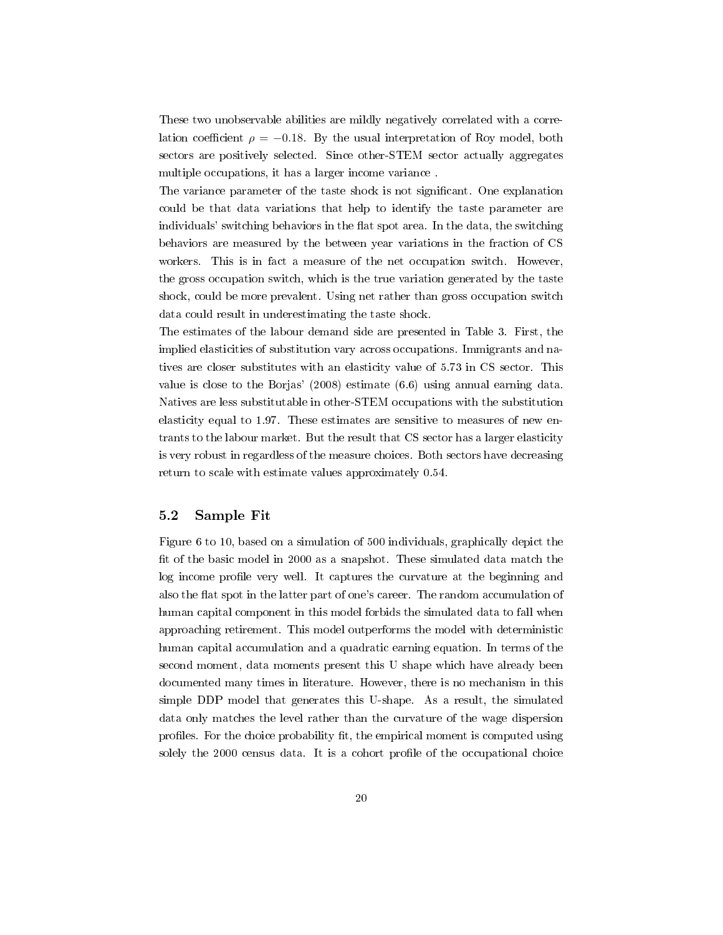These two unobservable abilities are mildly negatively correlated with a correlation coefficient  $\rho = -0.18$ . By the usual interpretation of Roy model, both sectors are positively selected. Since other-STEM sector actually aggregates multiple occupations, it has a larger income variance .

The variance parameter of the taste shock is not signicant. One explanation could be that data variations that help to identify the taste parameter are individuals' switching behaviors in the flat spot area. In the data, the switching behaviors are measured by the between year variations in the fraction of CS workers. This is in fact a measure of the net occupation switch. However, the gross occupation switch, which is the true variation generated by the taste shock, could be more prevalent. Using net rather than gross occupation switch data could result in underestimating the taste shock.

The estimates of the labour demand side are presented in Table 3. First, the implied elasticities of substitution vary across occupations. Immigrants and natives are closer substitutes with an elasticity value of 5.73 in CS sector. This value is close to the Borjas' (2008) estimate (6.6) using annual earning data. Natives are less substitutable in other-STEM occupations with the substitution elasticity equal to 1.97. These estimates are sensitive to measures of new entrants to the labour market. But the result that CS sector has a larger elasticity is very robust in regardless of the measure choices. Both sectors have decreasing return to scale with estimate values approximately 0.54.

## 5.2 Sample Fit

Figure 6 to 10, based on a simulation of 500 individuals, graphically depict the fit of the basic model in 2000 as a snapshot. These simulated data match the log income profile very well. It captures the curvature at the beginning and also the flat spot in the latter part of one's career. The random accumulation of human capital component in this model forbids the simulated data to fall when approaching retirement. This model outperforms the model with deterministic human capital accumulation and a quadratic earning equation. In terms of the second moment, data moments present this U shape which have already been documented many times in literature. However, there is no mechanism in this simple DDP model that generates this U-shape. As a result, the simulated data only matches the level rather than the curvature of the wage dispersion profiles. For the choice probability fit, the empirical moment is computed using solely the 2000 census data. It is a cohort profile of the occupational choice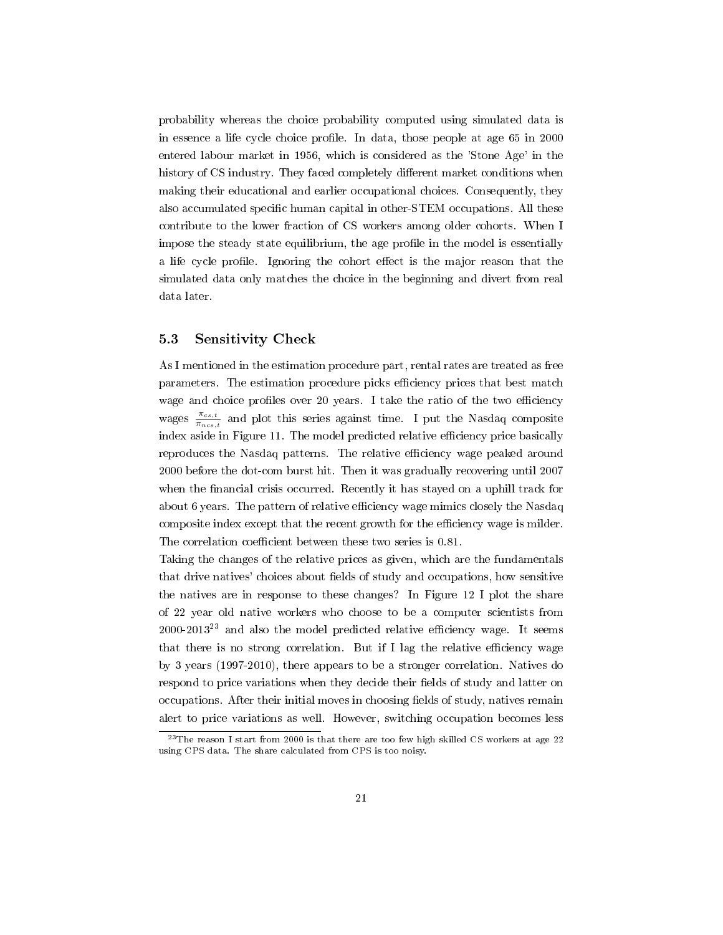probability whereas the choice probability computed using simulated data is in essence a life cycle choice profile. In data, those people at age 65 in 2000 entered labour market in 1956, which is considered as the 'Stone Age' in the history of CS industry. They faced completely different market conditions when making their educational and earlier occupational choices. Consequently, they also accumulated specific human capital in other-STEM occupations. All these contribute to the lower fraction of CS workers among older cohorts. When I impose the steady state equilibrium, the age profile in the model is essentially a life cycle profile. Ignoring the cohort effect is the major reason that the simulated data only matches the choice in the beginning and divert from real data later.

#### 5.3 Sensitivity Check

As I mentioned in the estimation procedure part, rental rates are treated as free parameters. The estimation procedure picks efficiency prices that best match wage and choice profiles over 20 years. I take the ratio of the two efficiency wages  $\frac{\pi_{cs,t}}{\pi}$  $\frac{\pi_{cs,t}}{\pi_{ncs,t}}$  and plot this series against time. I put the Nasdaq composite index aside in Figure 11. The model predicted relative efficiency price basically reproduces the Nasdaq patterns. The relative efficiency wage peaked around 2000 before the dot-com burst hit. Then it was gradually recovering until 2007 when the financial crisis occurred. Recently it has stayed on a uphill track for about 6 years. The pattern of relative efficiency wage mimics closely the Nasdaq composite index except that the recent growth for the efficiency wage is milder. The correlation coefficient between these two series is 0.81.

Taking the changes of the relative prices as given, which are the fundamentals that drive natives' choices about fields of study and occupations, how sensitive the natives are in response to these changes? In Figure 12 I plot the share of 22 year old native workers who choose to be a computer scientists from  $2000-2013^{23}$  and also the model predicted relative efficiency wage. It seems that there is no strong correlation. But if I lag the relative efficiency wage by 3 years (1997-2010), there appears to be a stronger correlation. Natives do respond to price variations when they decide their fields of study and latter on occupations. After their initial moves in choosing fields of study, natives remain alert to price variations as well. However, switching occupation becomes less

 $23$ The reason I start from 2000 is that there are too few high skilled CS workers at age 22 using CPS data. The share calculated from CPS is too noisy.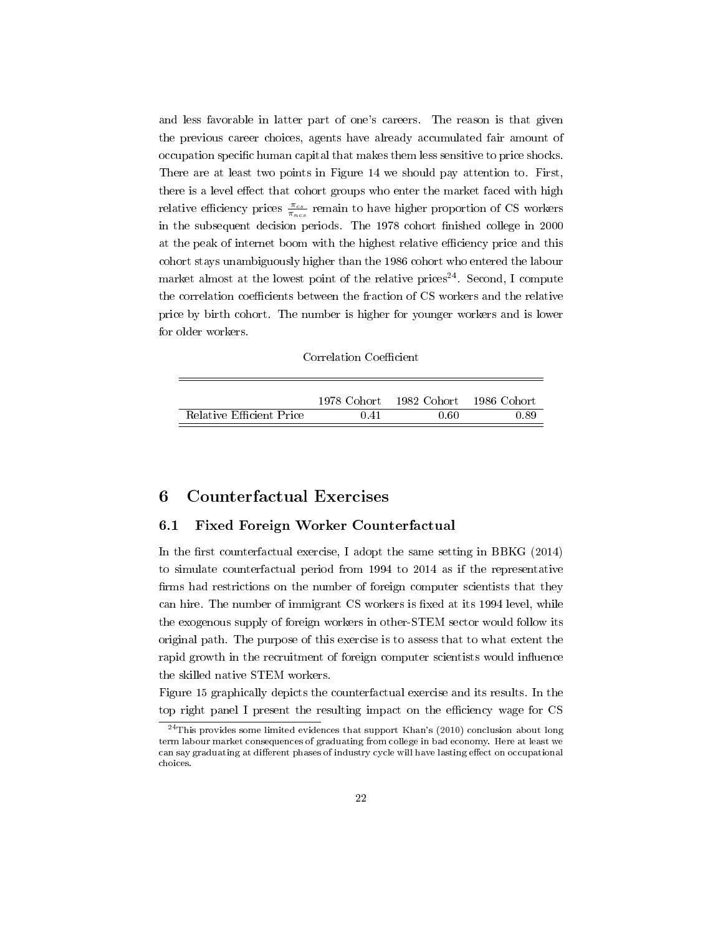and less favorable in latter part of one's careers. The reason is that given the previous career choices, agents have already accumulated fair amount of occupation specific human capital that makes them less sensitive to price shocks. There are at least two points in Figure 14 we should pay attention to. First, there is a level effect that cohort groups who enter the market faced with high relative efficiency prices  $\frac{\pi_{cs}}{\pi_{nes}}$  remain to have higher proportion of CS workers in the subsequent decision periods. The 1978 cohort finished college in 2000 at the peak of internet boom with the highest relative efficiency price and this cohort stays unambiguously higher than the 1986 cohort who entered the labour market almost at the lowest point of the relative prices<sup>24</sup>. Second, I compute the correlation coefficients between the fraction of CS workers and the relative price by birth cohort. The number is higher for younger workers and is lower for older workers.

#### Correlation Coefficient

|                          | 1978 Cohort | - 1982. Cohort | -1986 Cohort |
|--------------------------|-------------|----------------|--------------|
| Relative Efficient Price | 0.41        | 0.60           | 0.89         |

## 6 Counterfactual Exercises

#### 6.1 Fixed Foreign Worker Counterfactual

In the first counterfactual exercise, I adopt the same setting in BBKG  $(2014)$ to simulate counterfactual period from 1994 to 2014 as if the representative firms had restrictions on the number of foreign computer scientists that they can hire. The number of immigrant CS workers is fixed at its 1994 level, while the exogenous supply of foreign workers in other-STEM sector would follow its original path. The purpose of this exercise is to assess that to what extent the rapid growth in the recruitment of foreign computer scientists would influence the skilled native STEM workers.

Figure 15 graphically depicts the counterfactual exercise and its results. In the top right panel I present the resulting impact on the efficiency wage for CS

<sup>24</sup>This provides some limited evidences that support Khan's (2010) conclusion about long term labour market consequences of graduating from college in bad economy. Here at least we can say graduating at different phases of industry cycle will have lasting effect on occupational choices.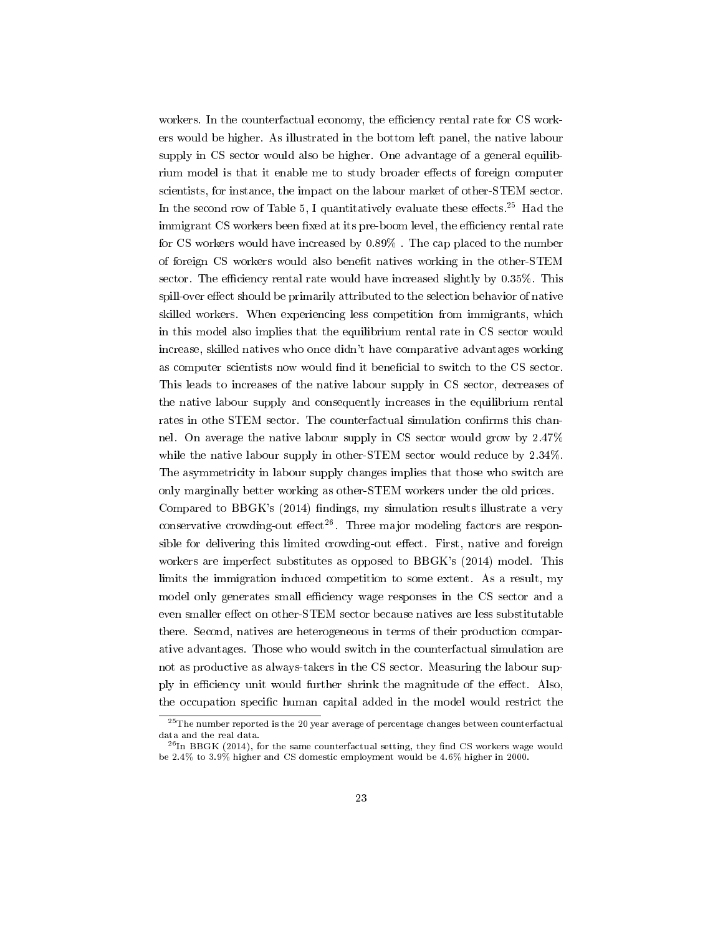workers. In the counterfactual economy, the efficiency rental rate for CS workers would be higher. As illustrated in the bottom left panel, the native labour supply in CS sector would also be higher. One advantage of a general equilibrium model is that it enable me to study broader effects of foreign computer scientists, for instance, the impact on the labour market of other-STEM sector. In the second row of Table 5, I quantitatively evaluate these effects.<sup>25</sup> Had the immigrant CS workers been fixed at its pre-boom level, the efficiency rental rate for CS workers would have increased by 0.89% . The cap placed to the number of foreign CS workers would also benefit natives working in the other-STEM sector. The efficiency rental rate would have increased slightly by  $0.35\%$ . This spill-over effect should be primarily attributed to the selection behavior of native skilled workers. When experiencing less competition from immigrants, which in this model also implies that the equilibrium rental rate in CS sector would increase, skilled natives who once didn't have comparative advantages working as computer scientists now would find it beneficial to switch to the CS sector. This leads to increases of the native labour supply in CS sector, decreases of the native labour supply and consequently increases in the equilibrium rental rates in othe STEM sector. The counterfactual simulation confirms this channel. On average the native labour supply in CS sector would grow by 2.47% while the native labour supply in other-STEM sector would reduce by 2.34%. The asymmetricity in labour supply changes implies that those who switch are only marginally better working as other-STEM workers under the old prices.

Compared to  $BBGK's$  (2014) findings, my simulation results illustrate a very conservative crowding-out effect<sup>26</sup>. Three major modeling factors are responsible for delivering this limited crowding-out effect. First, native and foreign workers are imperfect substitutes as opposed to BBGK's (2014) model. This limits the immigration induced competition to some extent. As a result, my model only generates small efficiency wage responses in the CS sector and a even smaller effect on other-STEM sector because natives are less substitutable there. Second, natives are heterogeneous in terms of their production comparative advantages. Those who would switch in the counterfactual simulation are not as productive as always-takers in the CS sector. Measuring the labour supply in efficiency unit would further shrink the magnitude of the effect. Also, the occupation specific human capital added in the model would restrict the

 $^{25}$ The number reported is the 20 year average of percentage changes between counterfactual data and the real data.

 $^{26}$ In BBGK (2014), for the same counterfactual setting, they find CS workers wage would be 2.4% to 3.9% higher and CS domestic employment would be 4.6% higher in 2000.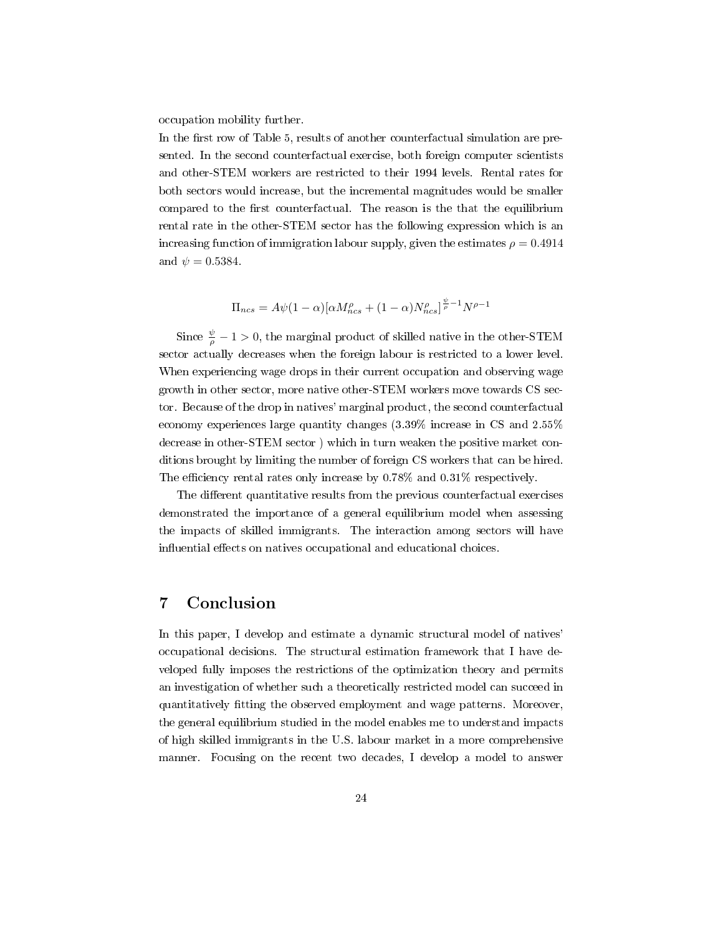occupation mobility further.

In the first row of Table 5, results of another counterfactual simulation are presented. In the second counterfactual exercise, both foreign computer scientists and other-STEM workers are restricted to their 1994 levels. Rental rates for both sectors would increase, but the incremental magnitudes would be smaller compared to the first counterfactual. The reason is the that the equilibrium rental rate in the other-STEM sector has the following expression which is an increasing function of immigration labour supply, given the estimates  $\rho = 0.4914$ and  $\psi = 0.5384$ .

$$
\Pi_{ncs} = A\psi(1-\alpha)[\alpha M_{ncs}^{\rho} + (1-\alpha)N_{ncs}^{\rho}]^{\frac{\psi}{\rho}-1}N^{\rho-1}
$$

Since  $\frac{\psi}{\rho} - 1 > 0$ , the marginal product of skilled native in the other-STEM sector actually decreases when the foreign labour is restricted to a lower level. When experiencing wage drops in their current occupation and observing wage growth in other sector, more native other-STEM workers move towards CS sector. Because of the drop in natives' marginal product, the second counterfactual economy experiences large quantity changes (3.39% increase in CS and 2.55% decrease in other-STEM sector ) which in turn weaken the positive market conditions brought by limiting the number of foreign CS workers that can be hired. The efficiency rental rates only increase by  $0.78\%$  and  $0.31\%$  respectively.

The different quantitative results from the previous counterfactual exercises demonstrated the importance of a general equilibrium model when assessing the impacts of skilled immigrants. The interaction among sectors will have influential effects on natives occupational and educational choices.

# 7 Conclusion

In this paper, I develop and estimate a dynamic structural model of natives' occupational decisions. The structural estimation framework that I have developed fully imposes the restrictions of the optimization theory and permits an investigation of whether such a theoretically restricted model can succeed in quantitatively fitting the observed employment and wage patterns. Moreover, the general equilibrium studied in the model enables me to understand impacts of high skilled immigrants in the U.S. labour market in a more comprehensive manner. Focusing on the recent two decades, I develop a model to answer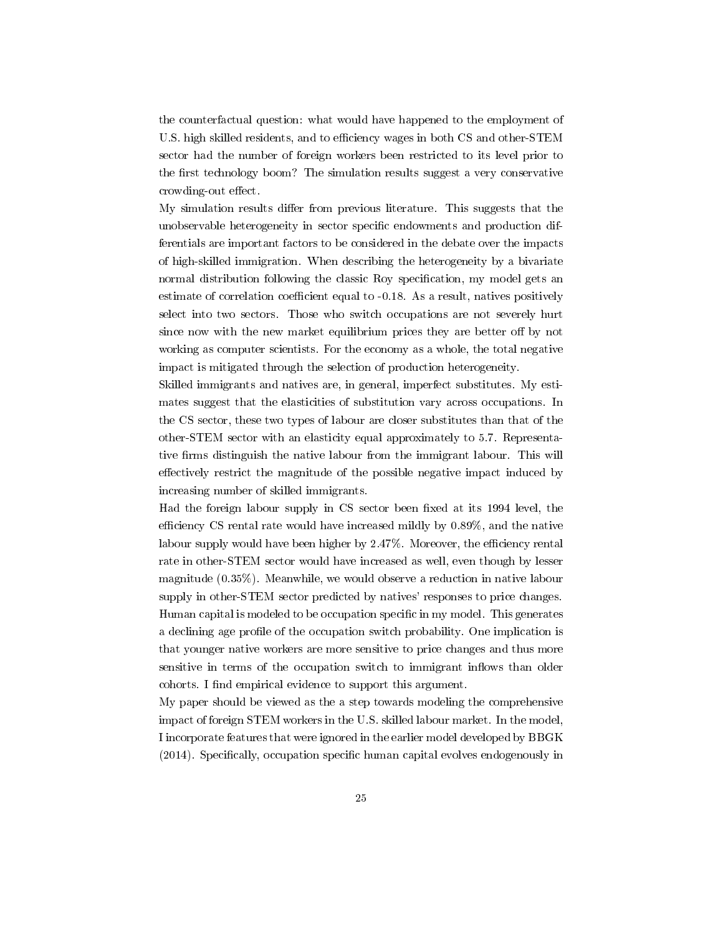the counterfactual question: what would have happened to the employment of U.S. high skilled residents, and to efficiency wages in both CS and other-STEM sector had the number of foreign workers been restricted to its level prior to the first technology boom? The simulation results suggest a very conservative crowding-out effect.

My simulation results differ from previous literature. This suggests that the unobservable heterogeneity in sector specific endowments and production differentials are important factors to be considered in the debate over the impacts of high-skilled immigration. When describing the heterogeneity by a bivariate normal distribution following the classic Roy specification, my model gets an estimate of correlation coefficient equal to -0.18. As a result, natives positively select into two sectors. Those who switch occupations are not severely hurt since now with the new market equilibrium prices they are better off by not working as computer scientists. For the economy as a whole, the total negative impact is mitigated through the selection of production heterogeneity.

Skilled immigrants and natives are, in general, imperfect substitutes. My estimates suggest that the elasticities of substitution vary across occupations. In the CS sector, these two types of labour are closer substitutes than that of the other-STEM sector with an elasticity equal approximately to 5.7. Representative firms distinguish the native labour from the immigrant labour. This will effectively restrict the magnitude of the possible negative impact induced by increasing number of skilled immigrants.

Had the foreign labour supply in CS sector been fixed at its 1994 level, the efficiency CS rental rate would have increased mildly by  $0.89\%$ , and the native labour supply would have been higher by  $2.47\%$ . Moreover, the efficiency rental rate in other-STEM sector would have increased as well, even though by lesser magnitude (0.35%). Meanwhile, we would observe a reduction in native labour supply in other-STEM sector predicted by natives' responses to price changes. Human capital is modeled to be occupation specific in my model. This generates a declining age profile of the occupation switch probability. One implication is that younger native workers are more sensitive to price changes and thus more sensitive in terms of the occupation switch to immigrant inflows than older cohorts. I find empirical evidence to support this argument.

My paper should be viewed as the a step towards modeling the comprehensive impact of foreign STEM workers in the U.S. skilled labour market. In the model, I incorporate features that were ignored in the earlier model developed by BBGK  $(2014)$ . Specifically, occupation specific human capital evolves endogenously in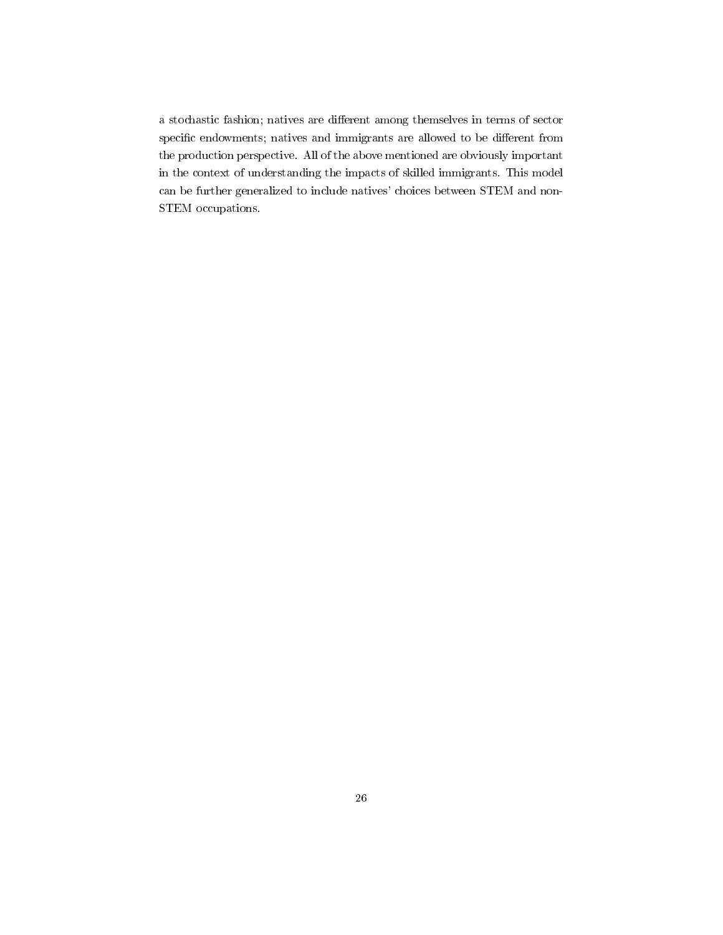a stochastic fashion; natives are different among themselves in terms of sector specific endowments; natives and immigrants are allowed to be different from the production perspective. All of the above mentioned are obviously important in the context of understanding the impacts of skilled immigrants. This model can be further generalized to include natives' choices between STEM and non-STEM occupations.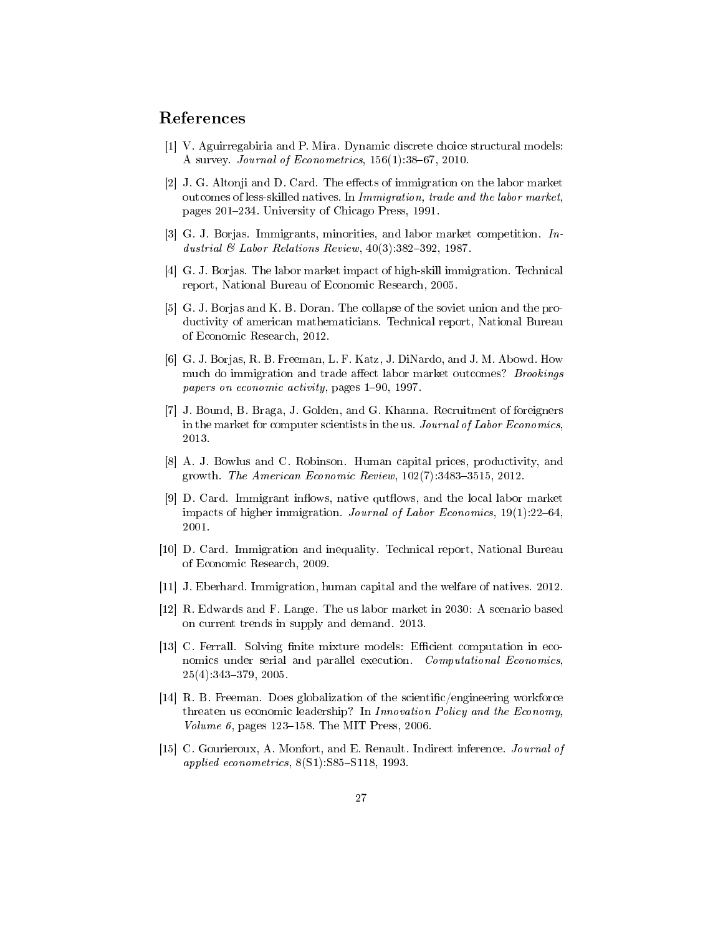# References

- [1] V. Aguirregabiria and P. Mira. Dynamic discrete choice structural models: A survey. Journal of Econometrics,  $156(1)$ : 38-67, 2010.
- [2] J. G. Altonji and D. Card. The effects of immigration on the labor market outcomes of less-skilled natives. In Immigration, trade and the labor market, pages 201234. University of Chicago Press, 1991.
- [3] G. J. Borjas. Immigrants, minorities, and labor market competition. Industrial  $\mathcal C$  Labor Relations Review, 40(3):382-392, 1987.
- [4] G. J. Borjas. The labor market impact of high-skill immigration. Technical report, National Bureau of Economic Research, 2005.
- [5] G. J. Borjas and K. B. Doran. The collapse of the soviet union and the productivity of american mathematicians. Technical report, National Bureau of Economic Research, 2012.
- [6] G. J. Borjas, R. B. Freeman, L. F. Katz, J. DiNardo, and J. M. Abowd. How much do immigration and trade affect labor market outcomes? *Brookings* papers on economic activity, pages 1-90, 1997.
- [7] J. Bound, B. Braga, J. Golden, and G. Khanna. Recruitment of foreigners in the market for computer scientists in the us. Journal of Labor Economics, 2013.
- [8] A. J. Bowlus and C. Robinson. Human capital prices, productivity, and growth. The American Economic Review,  $102(7)$ :3483-3515, 2012.
- [9] D. Card. Immigrant inflows, native qutflows, and the local labor market impacts of higher immigration. Journal of Labor Economics,  $19(1):22-64$ , 2001.
- [10] D. Card. Immigration and inequality. Technical report, National Bureau of Economic Research, 2009.
- [11] J. Eberhard. Immigration, human capital and the welfare of natives. 2012.
- [12] R. Edwards and F. Lange. The us labor market in 2030: A scenario based on current trends in supply and demand. 2013.
- [13] C. Ferrall. Solving finite mixture models: Efficient computation in economics under serial and parallel execution. Computational Economics, 25(4):343379, 2005.
- [14] R. B. Freeman. Does globalization of the scientific/engineering workforce threaten us economic leadership? In Innovation Policy and the Economy, Volume 6, pages  $123-158$ . The MIT Press, 2006.
- [15] C. Gourieroux, A. Monfort, and E. Renault. Indirect inference. Journal of applied econometrics,  $8(S1)$ : S85-S118, 1993.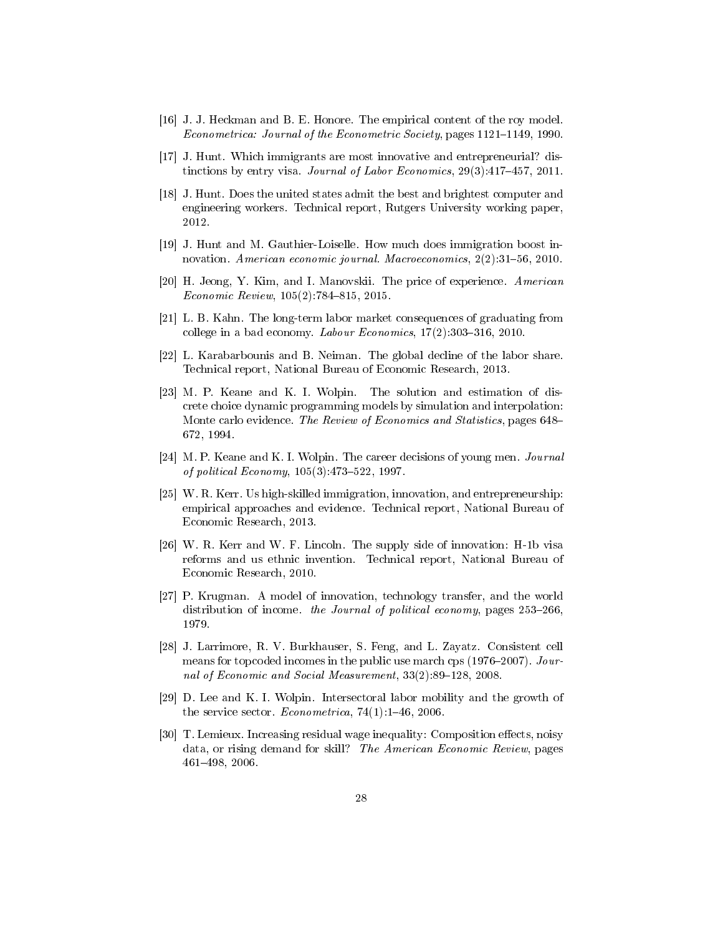- [16] J. J. Heckman and B. E. Honore. The empirical content of the roy model. Econometrica: Journal of the Econometric Society, pages 1121–1149, 1990.
- [17] J. Hunt. Which immigrants are most innovative and entrepreneurial? distinctions by entry visa. Journal of Labor Economics,  $29(3)$ :417-457, 2011.
- [18] J. Hunt. Does the united states admit the best and brightest computer and engineering workers. Technical report, Rutgers University working paper, 2012.
- [19] J. Hunt and M. Gauthier-Loiselle. How much does immigration boost innovation. American economic journal. Macroeconomics,  $2(2):31-56$ , 2010.
- [20] H. Jeong, Y. Kim, and I. Manovskii. The price of experience. American  $Economic Review, 105(2):784-815, 2015.$
- [21] L. B. Kahn. The long-term labor market consequences of graduating from college in a bad economy. Labour Economics,  $17(2)$ : 303-316, 2010.
- [22] L. Karabarbounis and B. Neiman. The global decline of the labor share. Technical report, National Bureau of Economic Research, 2013.
- [23] M. P. Keane and K. I. Wolpin. The solution and estimation of discrete choice dynamic programming models by simulation and interpolation: Monte carlo evidence. The Review of Economics and Statistics, pages 648– 672, 1994.
- [24] M. P. Keane and K. I. Wolpin. The career decisions of young men. *Journal* of political Economy,  $105(3)$ : 473-522, 1997.
- [25] W. R. Kerr. Us high-skilled immigration, innovation, and entrepreneurship: empirical approaches and evidence. Technical report, National Bureau of Economic Research, 2013.
- [26] W. R. Kerr and W. F. Lincoln. The supply side of innovation: H-1b visa reforms and us ethnic invention. Technical report, National Bureau of Economic Research, 2010.
- [27] P. Krugman. A model of innovation, technology transfer, and the world distribution of income. the Journal of political economy, pages  $253-266$ . 1979.
- [28] J. Larrimore, R. V. Burkhauser, S. Feng, and L. Zayatz. Consistent cell means for topcoded incomes in the public use march cps (1976–2007).  $Jour$ nal of Economic and Social Measurement,  $33(2):89-128$ ,  $2008$ .
- [29] D. Lee and K. I. Wolpin. Intersectoral labor mobility and the growth of the service sector. *Econometrica*,  $74(1):1-46$ , 2006.
- [30] T. Lemieux. Increasing residual wage inequality: Composition effects, noisy data, or rising demand for skill? The American Economic Review, pages 461498, 2006.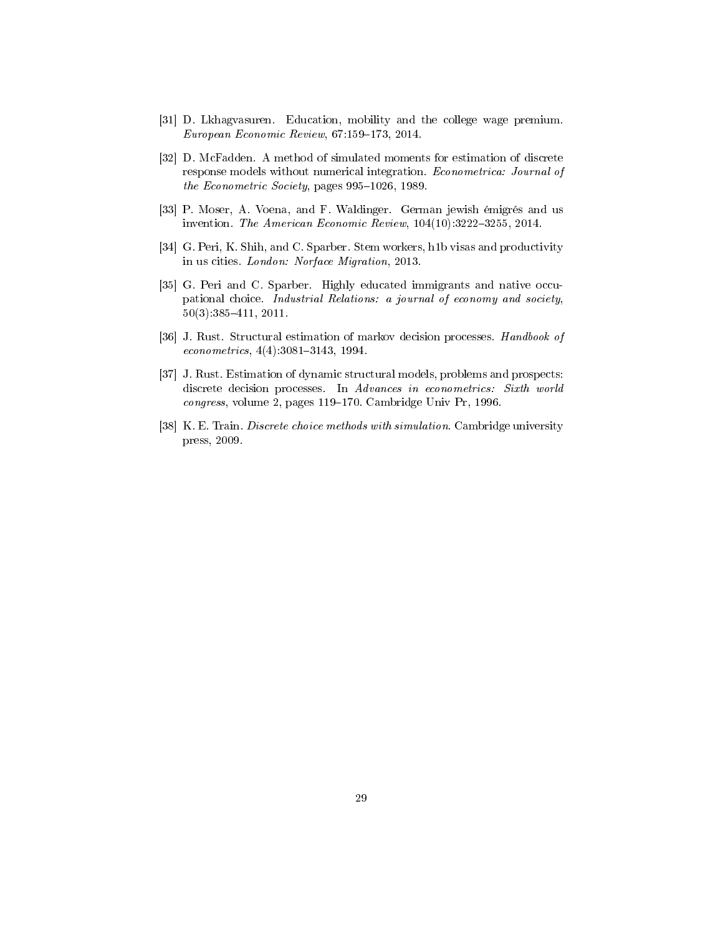- [31] D. Lkhagvasuren. Education, mobility and the college wage premium.  $European Economic Review, 67:159-173, 2014.$
- [32] D. McFadden. A method of simulated moments for estimation of discrete response models without numerical integration. Econometrica: Journal of the Econometric Society, pages  $995-1026$ , 1989.
- [33] P. Moser, A. Voena, and F. Waldinger. German jewish émigrés and us invention. The American Economic Review,  $104(10)$ :3222-3255, 2014.
- [34] G. Peri, K. Shih, and C. Sparber. Stem workers, h1b visas and productivity in us cities. London: Norface Migration, 2013.
- [35] G. Peri and C. Sparber. Highly educated immigrants and native occupational choice. Industrial Relations: a journal of economy and society, 50(3):385411, 2011.
- [36] J. Rust. Structural estimation of markov decision processes. Handbook of  $econometrics, 4(4).3081-3143, 1994.$
- [37] J. Rust. Estimation of dynamic structural models, problems and prospects: discrete decision processes. In Advances in econometrics: Sixth world congress, volume 2, pages 119-170. Cambridge Univ Pr, 1996.
- [38] K. E. Train. Discrete choice methods with simulation. Cambridge university press, 2009.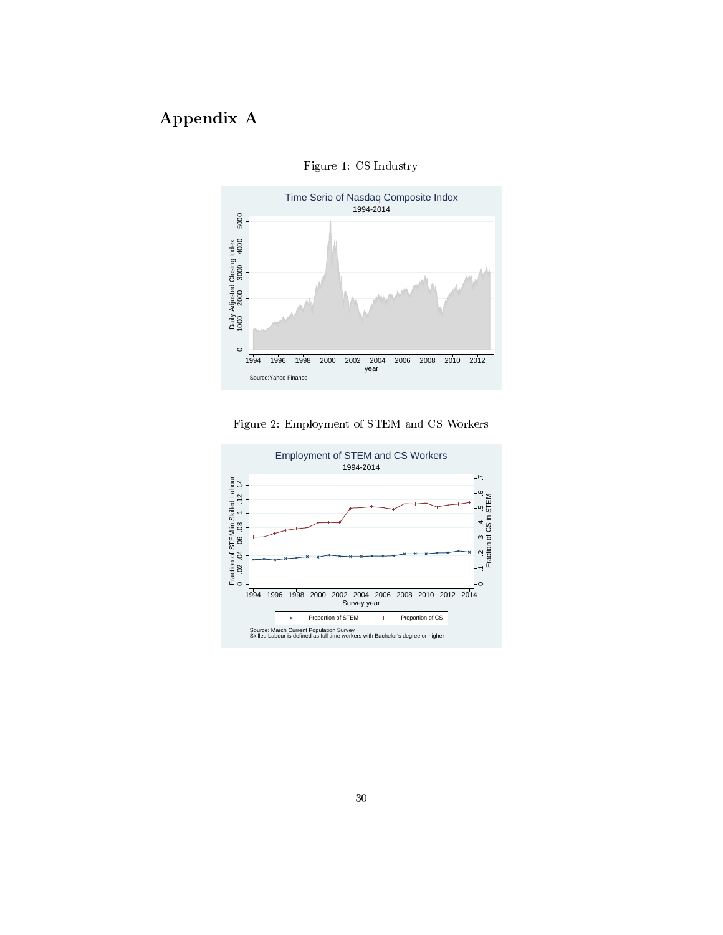# Appendix A



Figure 1: CS Industry



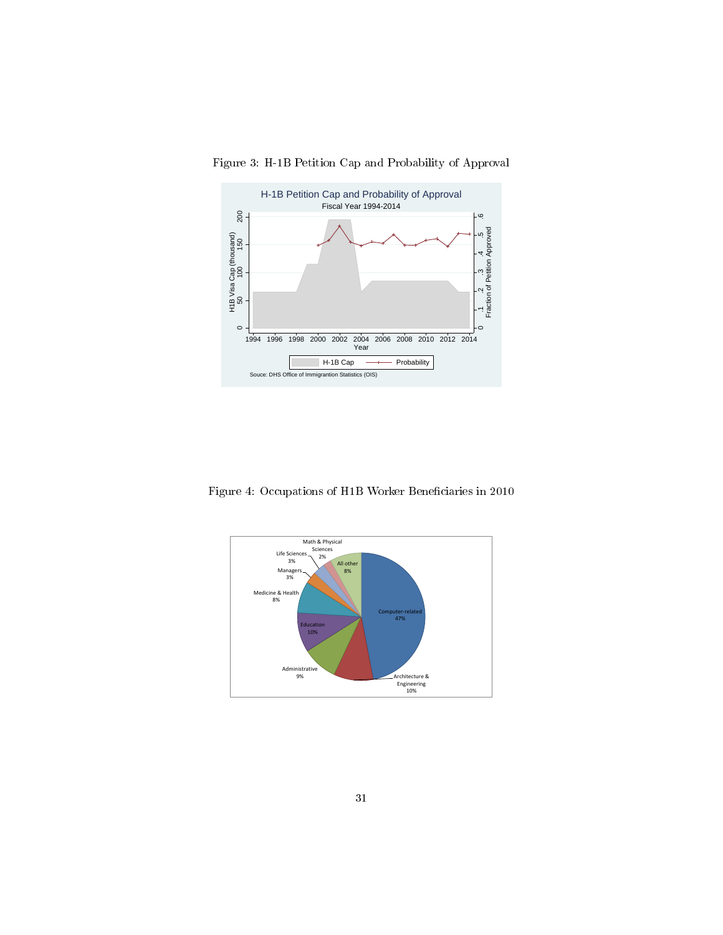

Figure 3: H-1B Petition Cap and Probability of Approval

Figure 4: Occupations of H1B Worker Beneficiaries in 2010

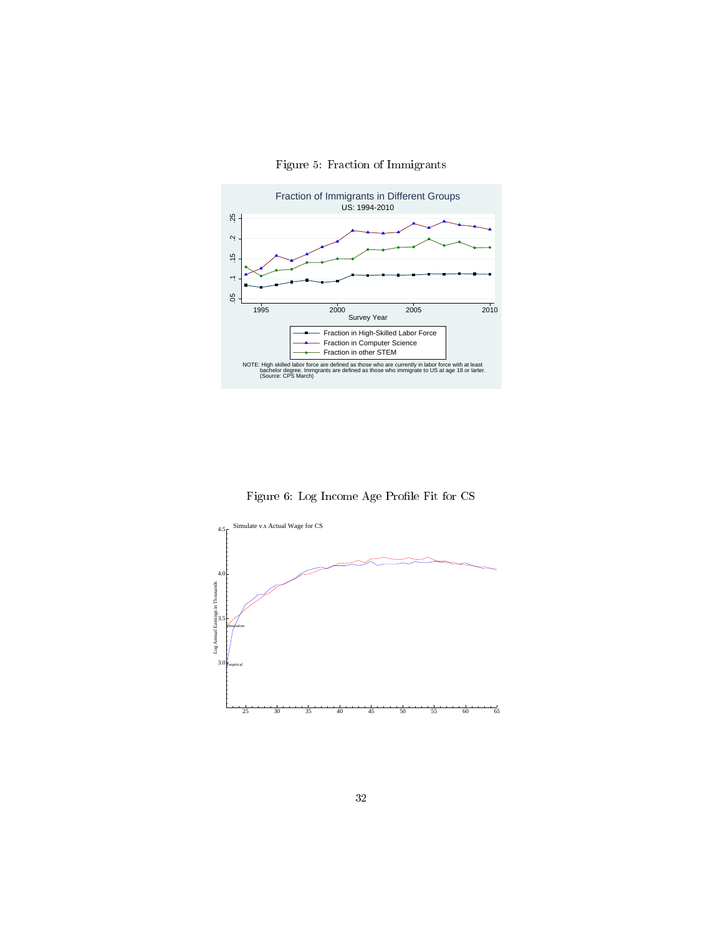

Figure 5: Fraction of Immigrants

Figure 6: Log Income Age Profile Fit for CS

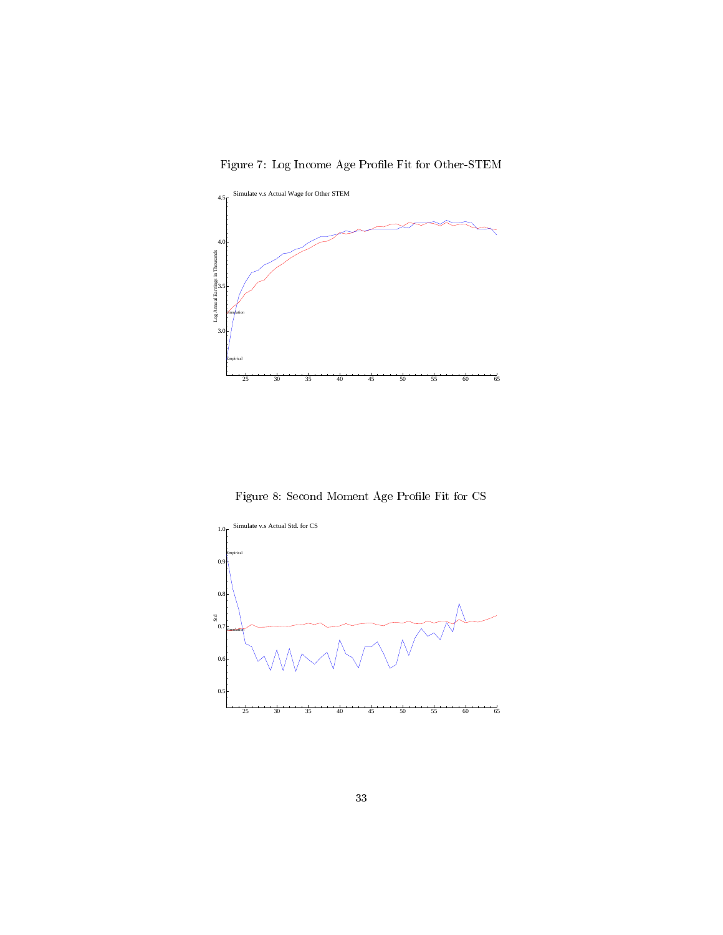Figure 7: Log Income Age Profile Fit for Other-STEM



Figure 8: Second Moment Age Profile Fit for CS  $\,$ 

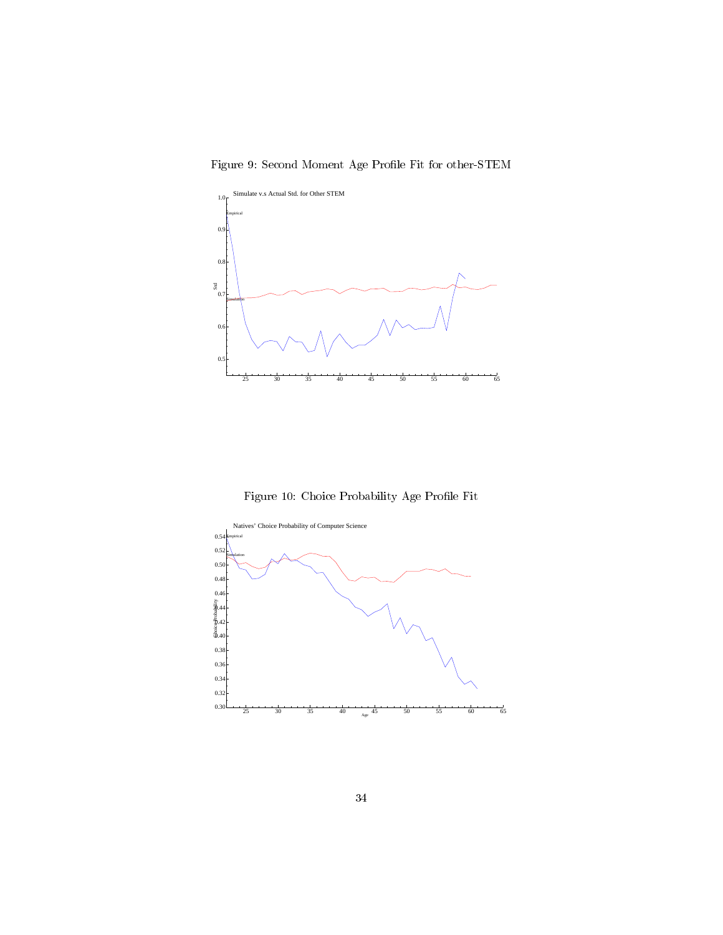Figure 9: Second Moment Age Profile Fit for other-STEM



Figure 10: Choice Probability Age Profile Fit

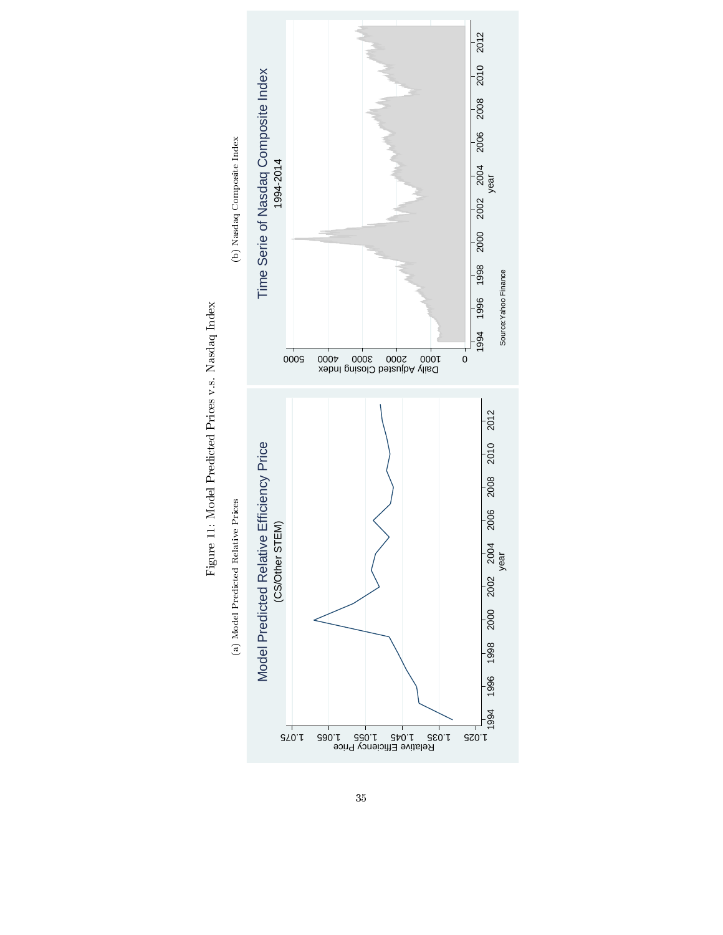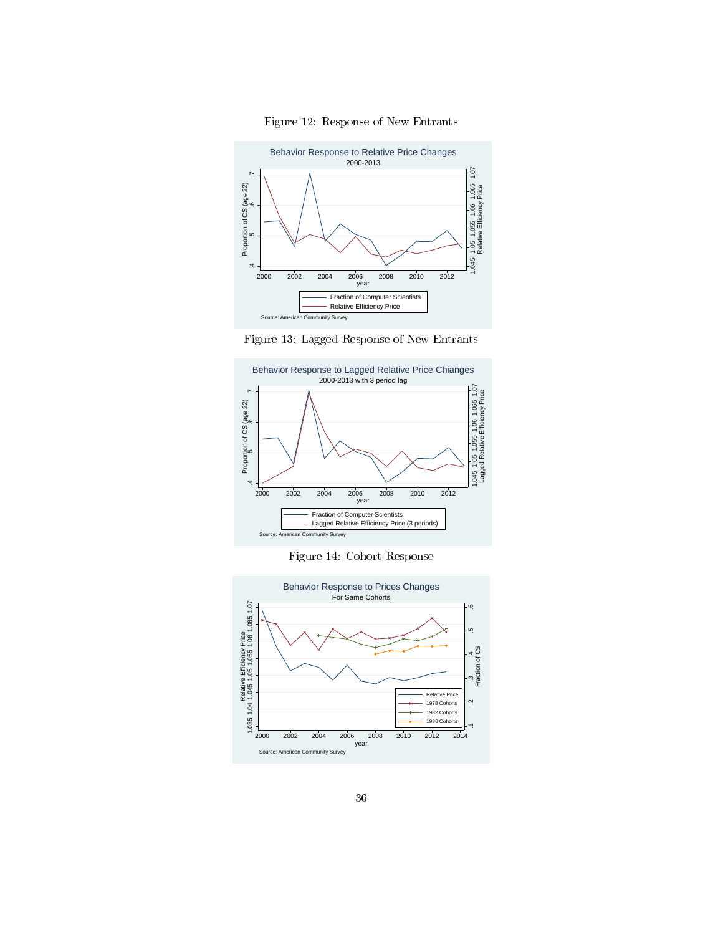

Figure 12: Response of New Entrants





Figure 14: Cohort Response

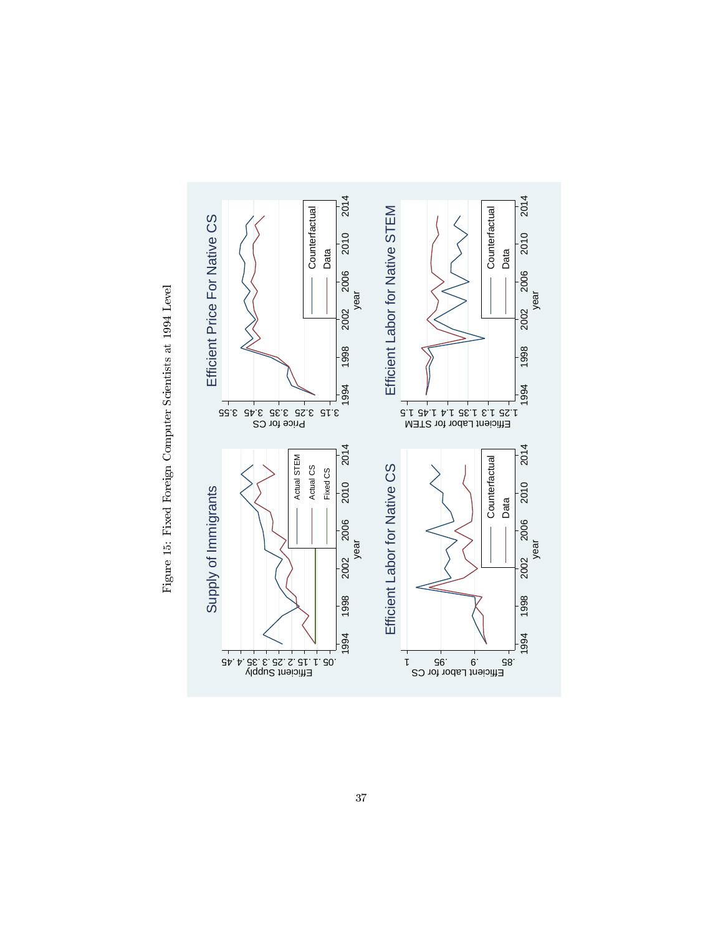

Figure 15: Fixed Foreign Computer Scientists at 1994 Level Figure 15: Fixed Foreign Computer Scientists at 1994 Level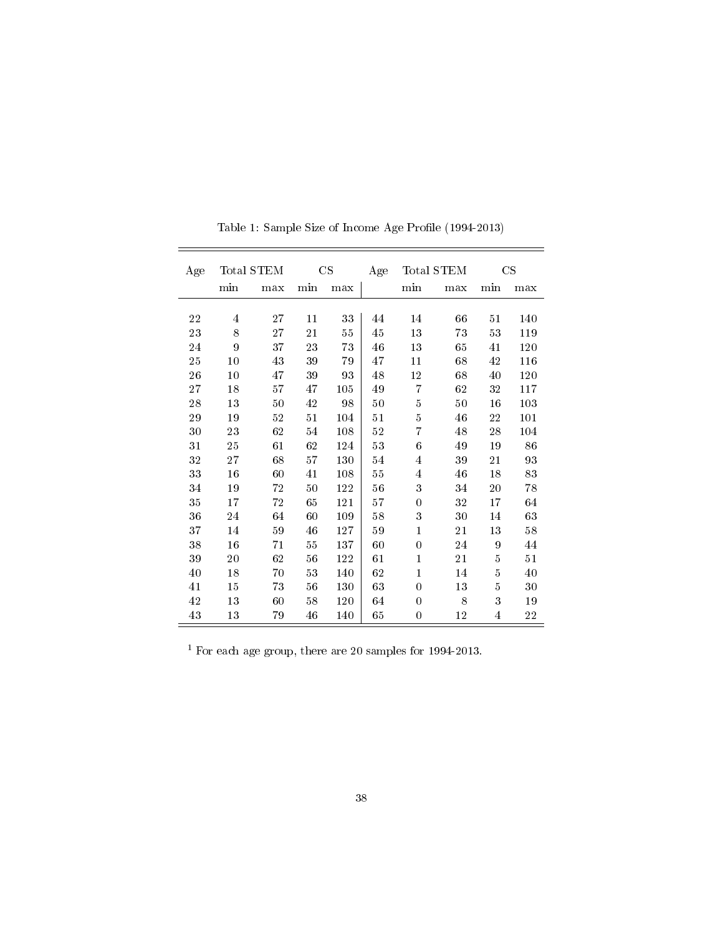| Age |                         | Total STEM |     | CS  | Age    |                         | Total STEM |             | CS  |
|-----|-------------------------|------------|-----|-----|--------|-------------------------|------------|-------------|-----|
|     | min                     | max        | min | max |        | min                     | max        | min         | max |
|     |                         |            |     |     |        |                         |            |             |     |
| 22  | $\overline{\mathbf{4}}$ | 27         | 11  | 33  | 44     | 14                      | 66         | 51          | 140 |
| 23  | 8                       | 27         | 21  | 55  | 45     | 13                      | 73         | 53          | 119 |
| 24  | 9                       | 37         | 23  | 73  | 46     | 13                      | 65         | 41          | 120 |
| 25  | 10                      | 43         | 39  | 79  | 47     | 11                      | 68         | 42          | 116 |
| 26  | 10                      | 47         | 39  | 93  | 48     | 12                      | 68         | 40          | 120 |
| 27  | 18                      | 57         | 47  | 105 | 49     | 7                       | 62         | 32          | 117 |
| 28  | 13                      | 50         | 42  | 98  | 50     | $\overline{5}$          | 50         | 16          | 103 |
| 29  | 19                      | $52\,$     | 51  | 104 | 51     | $\bf 5$                 | 46         | $\sqrt{22}$ | 101 |
| 30  | 23                      | 62         | 54  | 108 | $52\,$ | 7                       | 48         | 28          | 104 |
| 31  | 25                      | 61         | 62  | 124 | 53     | 6                       | 49         | 19          | 86  |
| 32  | 27                      | 68         | 57  | 130 | 54     | $\overline{4}$          | 39         | 21          | 93  |
| 33  | 16                      | 60         | 41  | 108 | 55     | $\overline{\mathbf{4}}$ | 46         | 18          | 83  |
| 34  | 19                      | 72         | 50  | 122 | 56     | 3                       | 34         | 20          | 78  |
| 35  | 17                      | 72         | 65  | 121 | 57     | 0                       | 32         | 17          | 64  |
| 36  | $\sqrt{24}$             | 64         | 60  | 109 | 58     | 3                       | 30         | 14          | 63  |
| 37  | 14                      | 59         | 46  | 127 | 59     | 1                       | 21         | 13          | 58  |
| 38  | 16                      | 71         | 55  | 137 | 60     | $\theta$                | 24         | 9           | 44  |
| 39  | 20                      | 62         | 56  | 122 | 61     | $\mathbf{1}$            | 21         | 5           | 51  |
| 40  | 18                      | 70         | 53  | 140 | 62     | $\mathbf{1}$            | 14         | $\bf 5$     | 40  |
| 41  | 15                      | $73\,$     | 56  | 130 | 63     | $\theta$                | 13         | $\bf 5$     | 30  |
| 42  | 13                      | 60         | 58  | 120 | 64     | 0                       | 8          | 3           | 19  |
| 43  | 13                      | 79         | 46  | 140 | 65     | $\theta$                | 12         | 4           | 22  |

Table 1: Sample Size of Income Age Profile  $(1994-2013)$ 

 $^{\rm 1}$  For each age group, there are 20 samples for 1994-2013.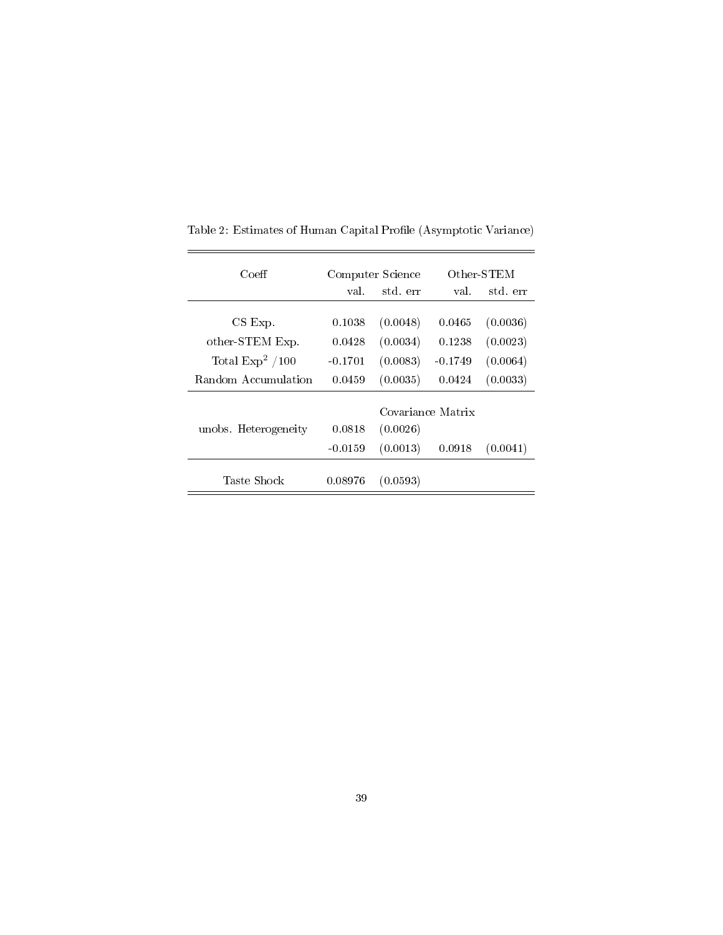| Coeff                | Computer Science |          |                   | Other-STEM |  |
|----------------------|------------------|----------|-------------------|------------|--|
|                      | val.             | std. err | val.              | std. err   |  |
|                      |                  |          |                   |            |  |
| CS Exp.              | 0.1038           | (0.0048) | 0.0465            | (0.0036)   |  |
| other-STEM Exp.      | 0.0428           | (0.0034) | 0.1238            | (0.0023)   |  |
| Total $Exp2 / 100$   | $-0.1701$        | (0.0083) | $-0.1749$         | (0.0064)   |  |
| Random Accumulation  | 0.0459           | (0.0035) | 0.0424            | (0.0033)   |  |
|                      |                  |          | Covariance Matrix |            |  |
|                      |                  |          |                   |            |  |
| unobs. Heterogeneity | 0.0818           | (0.0026) |                   |            |  |
|                      | $-0.0159$        | (0.0013) | 0.0918            | (0.0041)   |  |
|                      |                  |          |                   |            |  |
| Taste Shock          | 0.08976          | (0.0593) |                   |            |  |

Table 2: Estimates of Human Capital Profile (Asymptotic Variance)

÷

 $=$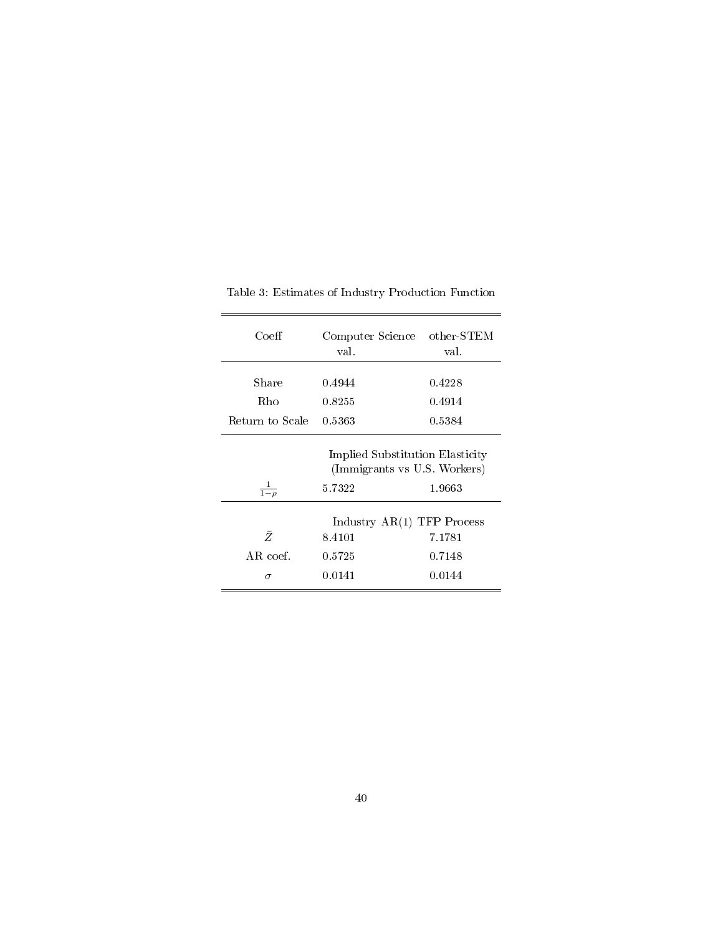| Coeff              | Computer Science<br>val.                                                            | $other-STEM$<br>val. |  |
|--------------------|-------------------------------------------------------------------------------------|----------------------|--|
| Share              | 0.4944                                                                              | 0.4228               |  |
| Rho                | 0.8255                                                                              | 0.4914               |  |
| Return to Scale    | 0.5363                                                                              | 0.5384               |  |
| $\frac{1}{1-\rho}$ | Implied Substitution Elasticity<br>(Immigrants vs U.S. Workers)<br>5.7322<br>1.9663 |                      |  |
|                    | Industry $AR(1)$ TFP Process                                                        |                      |  |
| Ž.                 | 8.4101                                                                              | 7.1781               |  |
| $AR$ coef.         | 0.5725                                                                              | 0.7148               |  |
| $\sigma$           | 0.0141                                                                              | 0.0144               |  |

Table 3: Estimates of Industry Production Function

 $=$ 

 $=$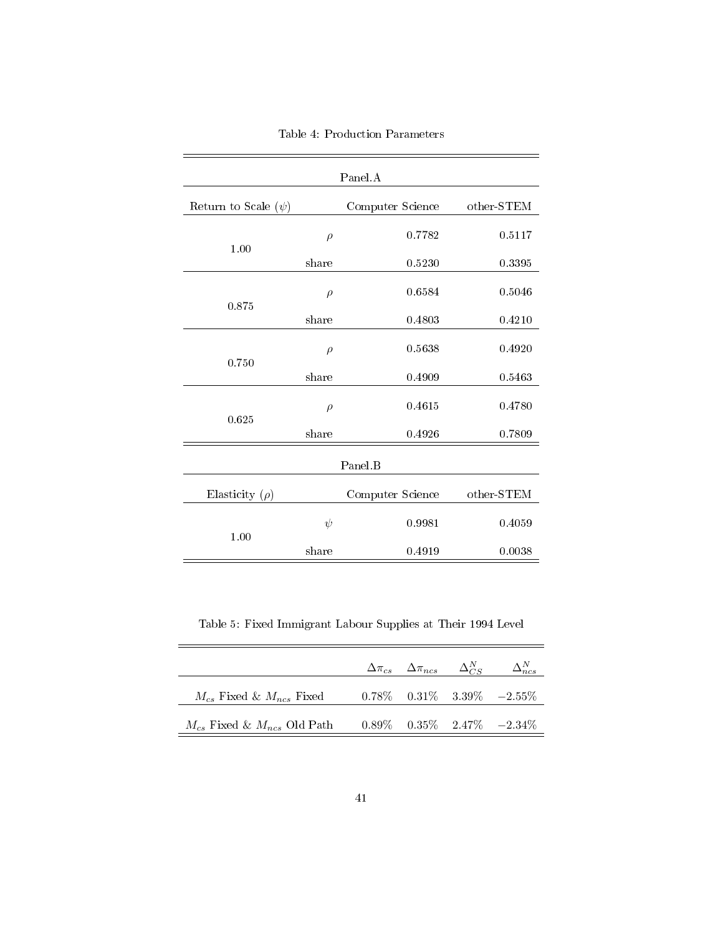| Panel.A                  |        |                  |              |  |  |
|--------------------------|--------|------------------|--------------|--|--|
| Return to Scale $(\psi)$ |        | Computer Science | $other-STEM$ |  |  |
|                          | $\rho$ | 0.7782           | 0.5117       |  |  |
| 1.00                     | share  | 0.5230           | 0.3395       |  |  |
|                          | $\rho$ | 0.6584           | 0.5046       |  |  |
| 0.875                    | share  | 0.4803           | 0.4210       |  |  |
|                          | $\rho$ | 0.5638           | 0.4920       |  |  |
| 0.750                    | share  | 0.4909           | 0.5463       |  |  |
|                          | $\rho$ | 0.4615           | 0.4780       |  |  |
| 0.625                    | share  | 0.4926           | 0.7809       |  |  |
|                          |        |                  |              |  |  |
|                          |        | Panel B          |              |  |  |
| Elasticity $(\rho)$      |        | Computer Science | other-STEM   |  |  |
|                          | $\psi$ | 0.9981           | 0.4059       |  |  |
| 1.00                     | share  | 0.4919           | 0.0038       |  |  |

Table 4: Production Parameters

Table 5: Fixed Immigrant Labour Supplies at Their 1994 Level

|                                     | $\Delta \pi_{cs}$ $\Delta \pi_{ncs}$ $\Delta_{CS}^N$ |                                      |
|-------------------------------------|------------------------------------------------------|--------------------------------------|
| $M_{cs}$ Fixed & $M_{ncs}$ Fixed    |                                                      | $0.78\%$ $0.31\%$ $3.39\%$ $-2.55\%$ |
| $M_{cs}$ Fixed & $M_{ncs}$ Old Path |                                                      | $0.89\%$ $0.35\%$ $2.47\%$ $-2.34\%$ |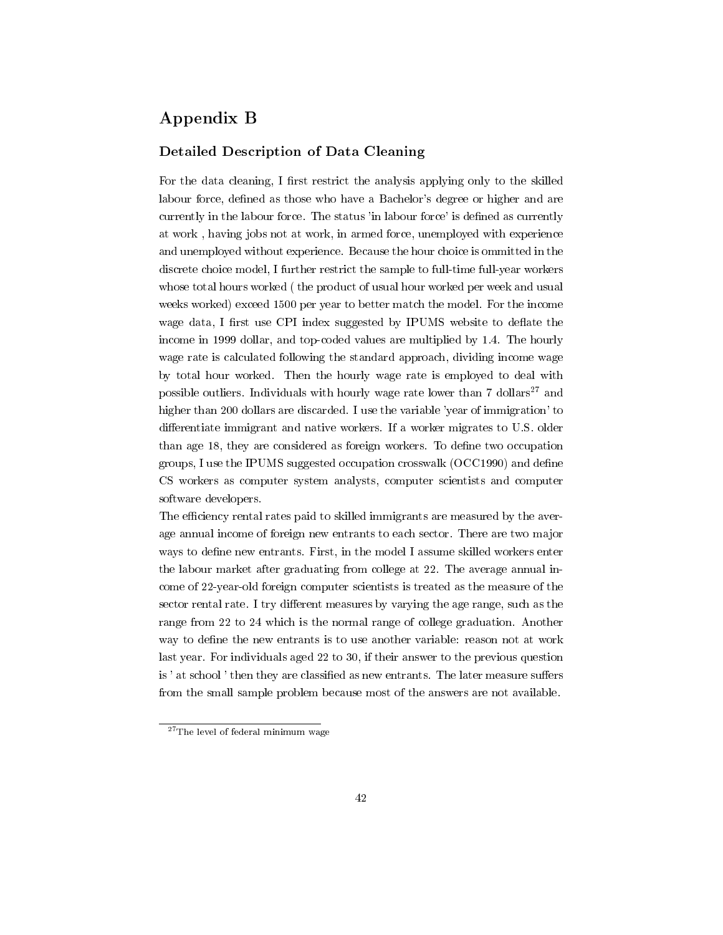# Appendix B

## Detailed Description of Data Cleaning

For the data cleaning, I first restrict the analysis applying only to the skilled labour force, defined as those who have a Bachelor's degree or higher and are currently in the labour force. The status 'in labour force' is defined as currently at work , having jobs not at work, in armed force, unemployed with experience and unemployed without experience. Because the hour choice is ommitted in the discrete choice model, I further restrict the sample to full-time full-year workers whose total hours worked ( the product of usual hour worked per week and usual weeks worked) exceed 1500 per year to better match the model. For the income wage data, I first use CPI index suggested by IPUMS website to deflate the income in 1999 dollar, and top-coded values are multiplied by 1.4. The hourly wage rate is calculated following the standard approach, dividing income wage by total hour worked. Then the hourly wage rate is employed to deal with possible outliers. Individuals with hourly wage rate lower than  $7 \text{ dollars}^{27}$  and higher than 200 dollars are discarded. I use the variable 'year of immigration' to differentiate immigrant and native workers. If a worker migrates to U.S. older than age 18, they are considered as foreign workers. To define two occupation groups, I use the IPUMS suggested occupation crosswalk (OCC1990) and dene CS workers as computer system analysts, computer scientists and computer software developers.

The efficiency rental rates paid to skilled immigrants are measured by the average annual income of foreign new entrants to each sector. There are two major ways to define new entrants. First, in the model I assume skilled workers enter the labour market after graduating from college at 22. The average annual income of 22-year-old foreign computer scientists is treated as the measure of the sector rental rate. I try different measures by varying the age range, such as the range from 22 to 24 which is the normal range of college graduation. Another way to define the new entrants is to use another variable: reason not at work last year. For individuals aged 22 to 30, if their answer to the previous question is ' at school ' then they are classified as new entrants. The later measure suffers from the small sample problem because most of the answers are not available.

<sup>27</sup>The level of federal minimum wage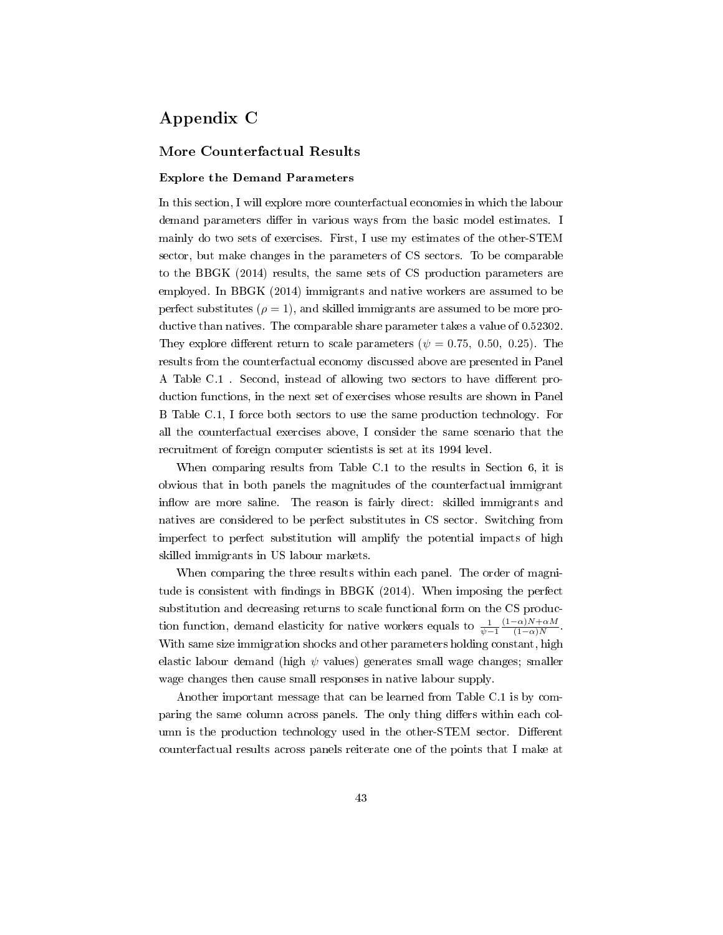# Appendix C

## More Counterfactual Results

#### Explore the Demand Parameters

In this section, I will explore more counterfactual economies in which the labour demand parameters differ in various ways from the basic model estimates. I mainly do two sets of exercises. First, I use my estimates of the other-STEM sector, but make changes in the parameters of CS sectors. To be comparable to the BBGK (2014) results, the same sets of CS production parameters are employed. In BBGK (2014) immigrants and native workers are assumed to be perfect substitutes ( $\rho = 1$ ), and skilled immigrants are assumed to be more productive than natives. The comparable share parameter takes a value of 0.52302. They explore different return to scale parameters ( $\psi = 0.75, 0.50, 0.25$ ). The results from the counterfactual economy discussed above are presented in Panel A Table C.1. Second, instead of allowing two sectors to have different production functions, in the next set of exercises whose results are shown in Panel B Table C.1, I force both sectors to use the same production technology. For all the counterfactual exercises above, I consider the same scenario that the recruitment of foreign computer scientists is set at its 1994 level.

When comparing results from Table C.1 to the results in Section 6, it is obvious that in both panels the magnitudes of the counterfactual immigrant inflow are more saline. The reason is fairly direct: skilled immigrants and natives are considered to be perfect substitutes in CS sector. Switching from imperfect to perfect substitution will amplify the potential impacts of high skilled immigrants in US labour markets.

When comparing the three results within each panel. The order of magnitude is consistent with findings in BBGK (2014). When imposing the perfect substitution and decreasing returns to scale functional form on the CS production function, demand elasticity for native workers equals to  $\frac{1}{\psi - 1}$  $(1-\alpha)N+\alpha M$  $(1-\alpha)N$ . With same size immigration shocks and other parameters holding constant, high elastic labour demand (high  $\psi$  values) generates small wage changes; smaller wage changes then cause small responses in native labour supply.

Another important message that can be learned from Table C.1 is by comparing the same column across panels. The only thing differs within each column is the production technology used in the other-STEM sector. Different counterfactual results across panels reiterate one of the points that I make at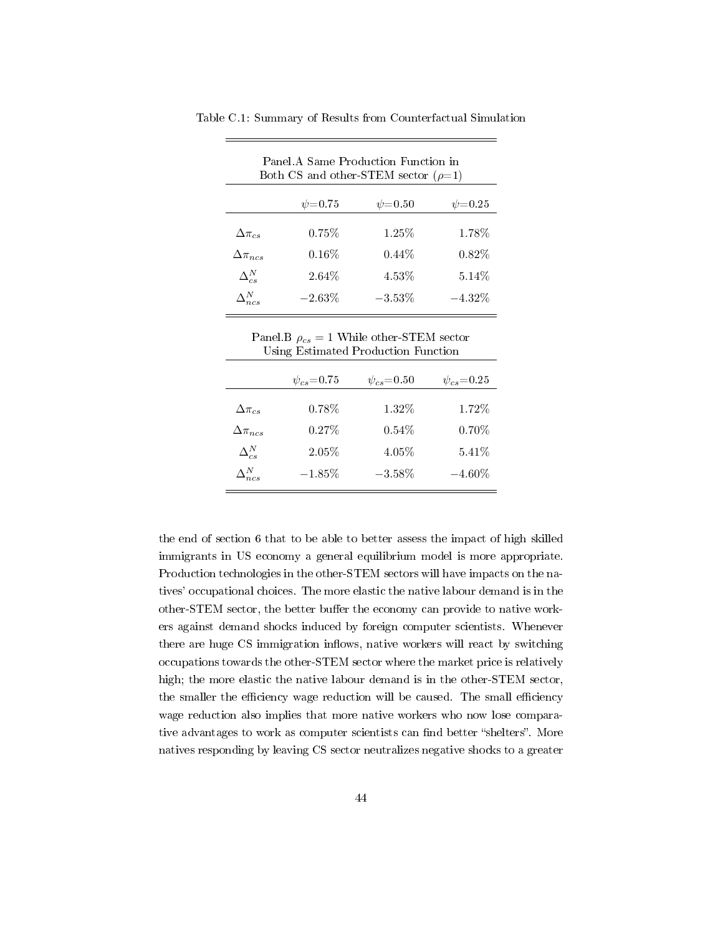| Panel A Same Production Function in<br>Both CS and other-STEM sector $(\rho=1)$ |              |               |  |  |  |
|---------------------------------------------------------------------------------|--------------|---------------|--|--|--|
| $\psi = 0.75$                                                                   | $\psi$ =0.50 | $\psi = 0.25$ |  |  |  |
| $0.75\%$                                                                        | 1.25%        | 1.78%         |  |  |  |
| $0.16\%$                                                                        | $0.44\%$     | $0.82\%$      |  |  |  |
| $2.64\%$                                                                        | 4.53%        | $5.14\%$      |  |  |  |
| $-2.63\%$                                                                       | $-3.53\%$    | $-4.32\%$     |  |  |  |
|                                                                                 |              |               |  |  |  |

Table C.1: Summary of Results from Counterfactual Simulation

Panel.B  $\rho_{cs} = 1$  While other-STEM sector Using Estimated Production Function

|                   | $\psi_{cs} = 0.75$ | $\psi_{cs} = 0.50$ | $\psi_{cs} = 0.25$ |
|-------------------|--------------------|--------------------|--------------------|
| $\Delta\pi_{cs}$  | 0.78%              | 1.32%              | 1.72%              |
| $\Delta\pi_{ncs}$ | 0.27%              | 0.54%              | $0.70\%$           |
| $\Delta_{cs}^N$   | 2.05%              | 4.05%              | 5.41%              |
| $\Delta^N_{ncs}$  | $-1.85%$           | $-3.58\%$          | $-4.60\%$          |

the end of section 6 that to be able to better assess the impact of high skilled immigrants in US economy a general equilibrium model is more appropriate. Production technologies in the other-STEM sectors will have impacts on the natives' occupational choices. The more elastic the native labour demand is in the other-STEM sector, the better buffer the economy can provide to native workers against demand shocks induced by foreign computer scientists. Whenever there are huge CS immigration inflows, native workers will react by switching occupations towards the other-STEM sector where the market price is relatively high; the more elastic the native labour demand is in the other-STEM sector, the smaller the efficiency wage reduction will be caused. The small efficiency wage reduction also implies that more native workers who now lose comparative advantages to work as computer scientists can find better "shelters". More natives responding by leaving CS sector neutralizes negative shocks to a greater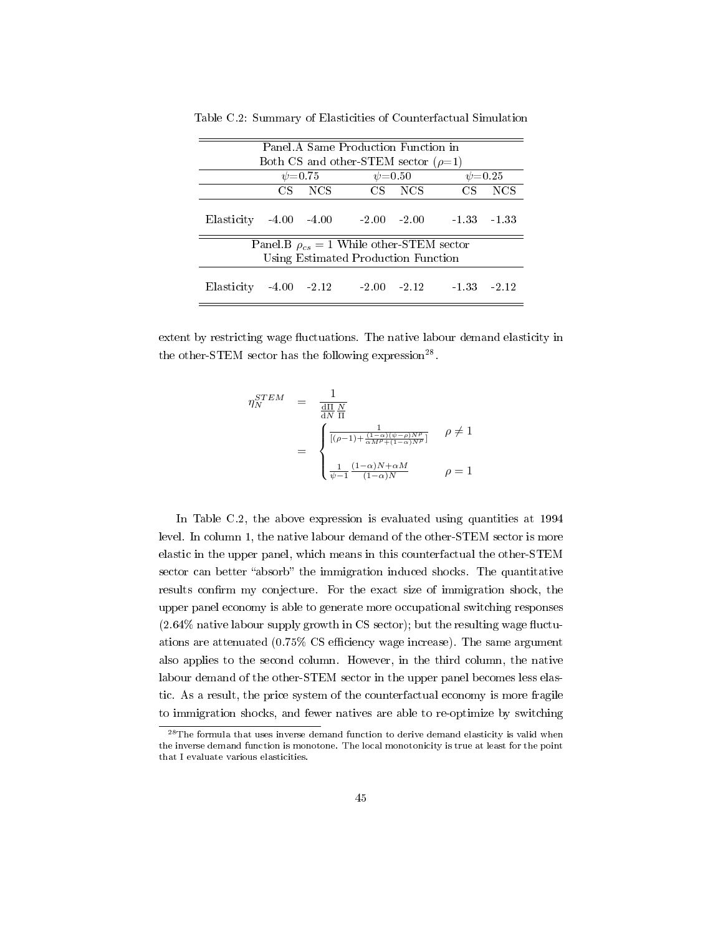| Panel A Same Production Function in        |  |        |                                                 |        |                |                  |
|--------------------------------------------|--|--------|-------------------------------------------------|--------|----------------|------------------|
|                                            |  |        | Both CS and other-STEM sector $(\rho=1)$        |        |                |                  |
|                                            |  |        | $\psi$ =0.75 $\psi$ =0.50                       |        |                | $\psi = 0.25$    |
|                                            |  | CS NCS |                                                 | CS NCS | CS             | NCS <sup>.</sup> |
| Elasticity $-4.00$ $-4.00$ $-2.00$ $-2.00$ |  |        |                                                 |        | $-1.33 - 1.33$ |                  |
|                                            |  |        | Panel B $\rho_{cs} = 1$ While other-STEM sector |        |                |                  |
| Using Estimated Production Function        |  |        |                                                 |        |                |                  |
| Elasticity $-4.00$ $-2.12$ $-2.00$ $-2.12$ |  |        |                                                 |        | $-1.33 - 2.12$ |                  |

Table C.2: Summary of Elasticities of Counterfactual Simulation

extent by restricting wage fluctuations. The native labour demand elasticity in the other-STEM sector has the following expression<sup>28</sup>.

$$
\begin{array}{rcl} \eta_N^{STEM} & = & \displaystyle \frac{1}{\frac{\mathrm{d}\Pi}{\mathrm{d}N}} \\ & = & \displaystyle \frac{1}{\frac{\mathrm{d}\Pi}{\mathrm{d}N}} \frac{1}{\Pi} \\ & = & \begin{cases} \displaystyle \frac{1}{[(\rho-1) + \frac{(1-\alpha)(\psi-\rho)N\rho}{\alpha M \rho + (1-\alpha)N \rho}]} & \rho \neq 1 \\ \\ \displaystyle \frac{1}{\psi-1} \frac{(1-\alpha)N + \alpha M}{(1-\alpha)N} & \rho = 1 \end{cases} \end{array}
$$

In Table C.2, the above expression is evaluated using quantities at 1994 level. In column 1, the native labour demand of the other-STEM sector is more elastic in the upper panel, which means in this counterfactual the other-STEM sector can better "absorb" the immigration induced shocks. The quantitative results confirm my conjecture. For the exact size of immigration shock, the upper panel economy is able to generate more occupational switching responses  $(2.64\%$  native labour supply growth in CS sector); but the resulting wage fluctuations are attenuated  $(0.75\% \text{ CS efficiency wage increase})$ . The same argument also applies to the second column. However, in the third column, the native labour demand of the other-STEM sector in the upper panel becomes less elastic. As a result, the price system of the counterfactual economy is more fragile to immigration shocks, and fewer natives are able to re-optimize by switching

<sup>28</sup>The formula that uses inverse demand function to derive demand elasticity is valid when the inverse demand function is monotone. The local monotonicity is true at least for the point that I evaluate various elasticities.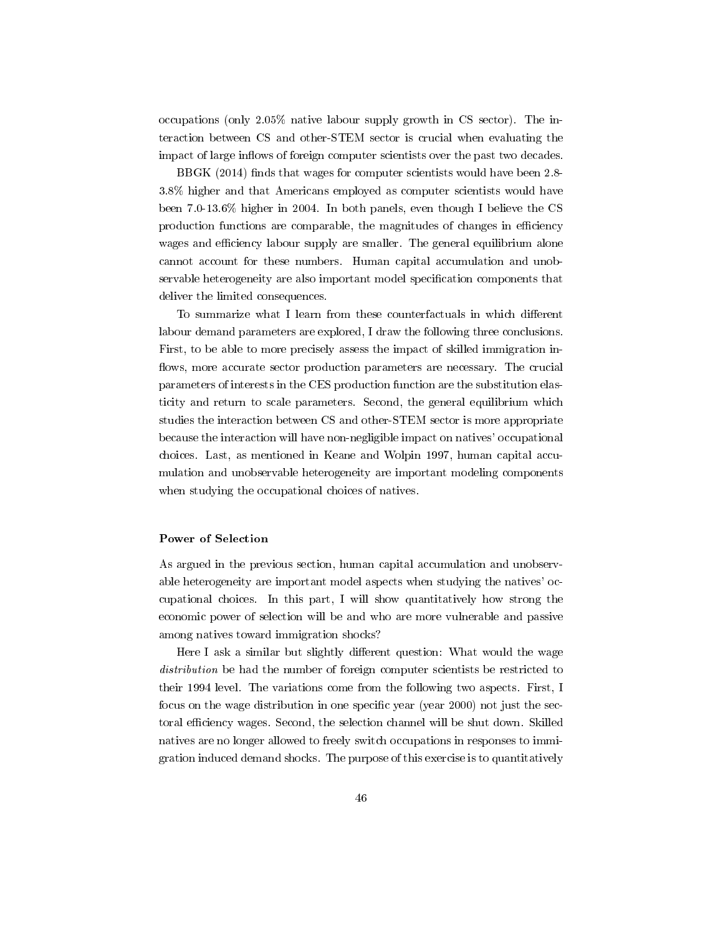occupations (only 2.05% native labour supply growth in CS sector). The interaction between CS and other-STEM sector is crucial when evaluating the impact of large inflows of foreign computer scientists over the past two decades.

BBGK  $(2014)$  finds that wages for computer scientists would have been 2.8-3.8% higher and that Americans employed as computer scientists would have been 7.0-13.6% higher in 2004. In both panels, even though I believe the CS production functions are comparable, the magnitudes of changes in efficiency wages and efficiency labour supply are smaller. The general equilibrium alone cannot account for these numbers. Human capital accumulation and unobservable heterogeneity are also important model specification components that deliver the limited consequences.

To summarize what I learn from these counterfactuals in which different labour demand parameters are explored, I draw the following three conclusions. First, to be able to more precisely assess the impact of skilled immigration in flows, more accurate sector production parameters are necessary. The crucial parameters of interests in the CES production function are the substitution elasticity and return to scale parameters. Second, the general equilibrium which studies the interaction between CS and other-STEM sector is more appropriate because the interaction will have non-negligible impact on natives' occupational choices. Last, as mentioned in Keane and Wolpin 1997, human capital accumulation and unobservable heterogeneity are important modeling components when studying the occupational choices of natives.

#### Power of Selection

As argued in the previous section, human capital accumulation and unobservable heterogeneity are important model aspects when studying the natives' occupational choices. In this part, I will show quantitatively how strong the economic power of selection will be and who are more vulnerable and passive among natives toward immigration shocks?

Here I ask a similar but slightly different question: What would the wage distribution be had the number of foreign computer scientists be restricted to their 1994 level. The variations come from the following two aspects. First, I focus on the wage distribution in one specific year (year 2000) not just the sectoral efficiency wages. Second, the selection channel will be shut down. Skilled natives are no longer allowed to freely switch occupations in responses to immigration induced demand shocks. The purpose of this exercise is to quantitatively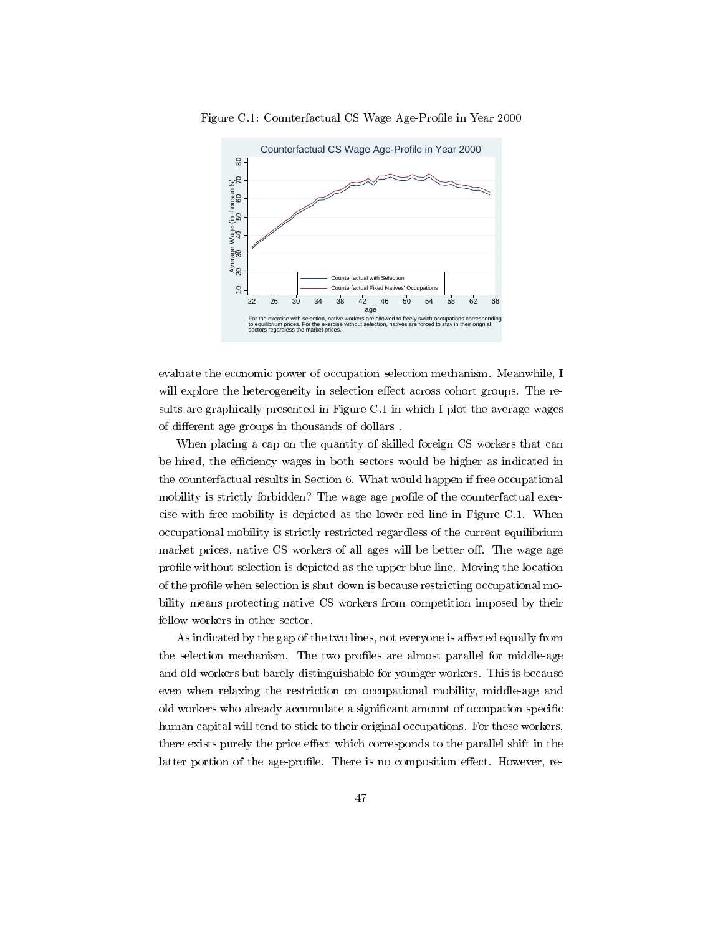

Figure C.1: Counterfactual CS Wage Age-Profile in Year 2000

evaluate the economic power of occupation selection mechanism. Meanwhile, I will explore the heterogeneity in selection effect across cohort groups. The results are graphically presented in Figure C.1 in which I plot the average wages of different age groups in thousands of dollars.

When placing a cap on the quantity of skilled foreign CS workers that can be hired, the efficiency wages in both sectors would be higher as indicated in the counterfactual results in Section 6. What would happen if free occupational mobility is strictly forbidden? The wage age profile of the counterfactual exercise with free mobility is depicted as the lower red line in Figure C.1. When occupational mobility is strictly restricted regardless of the current equilibrium market prices, native CS workers of all ages will be better off. The wage age profile without selection is depicted as the upper blue line. Moving the location of the profile when selection is shut down is because restricting occupational mobility means protecting native CS workers from competition imposed by their fellow workers in other sector.

As indicated by the gap of the two lines, not everyone is affected equally from the selection mechanism. The two profiles are almost parallel for middle-age and old workers but barely distinguishable for younger workers. This is because even when relaxing the restriction on occupational mobility, middle-age and old workers who already accumulate a significant amount of occupation specific human capital will tend to stick to their original occupations. For these workers, there exists purely the price effect which corresponds to the parallel shift in the latter portion of the age-profile. There is no composition effect. However, re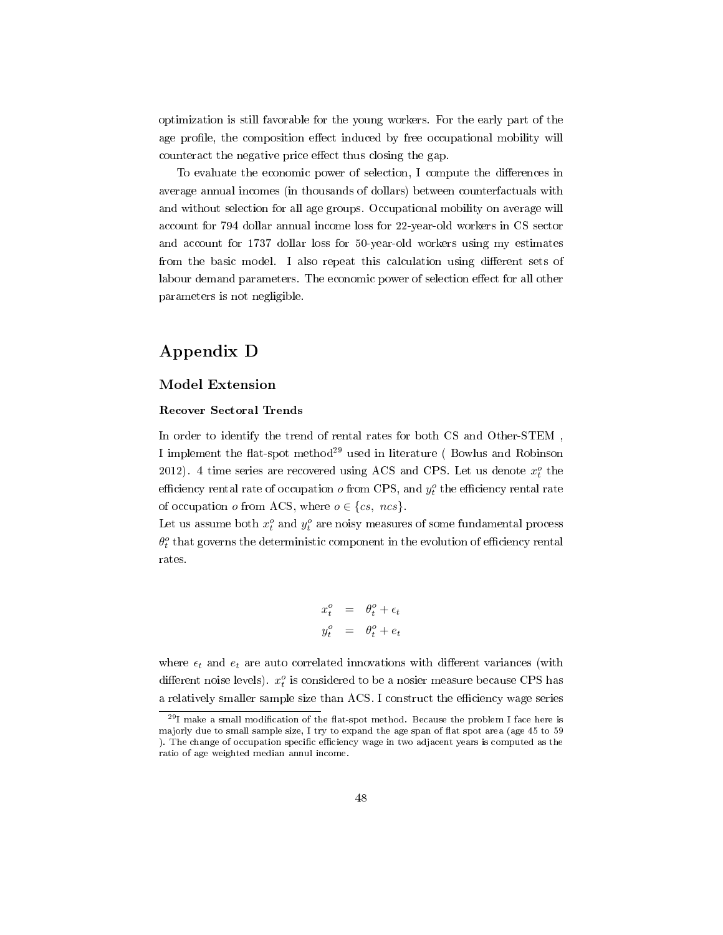optimization is still favorable for the young workers. For the early part of the age profile, the composition effect induced by free occupational mobility will counteract the negative price effect thus closing the gap.

To evaluate the economic power of selection, I compute the differences in average annual incomes (in thousands of dollars) between counterfactuals with and without selection for all age groups. Occupational mobility on average will account for 794 dollar annual income loss for 22-year-old workers in CS sector and account for 1737 dollar loss for 50-year-old workers using my estimates from the basic model. I also repeat this calculation using different sets of labour demand parameters. The economic power of selection effect for all other parameters is not negligible.

# Appendix D

## Model Extension

#### Recover Sectoral Trends

In order to identify the trend of rental rates for both CS and Other-STEM , I implement the flat-spot method<sup>29</sup> used in literature (Bowlus and Robinson 2012). 4 time series are recovered using ACS and CPS. Let us denote  $x_t^o$  the efficiency rental rate of occupation  $o$  from CPS, and  $y_t^o$  the efficiency rental rate of occupation  $o$  from ACS, where  $o \in \{cs, ncs\}$ .

Let us assume both  $x_t^o$  and  $y_t^o$  are noisy measures of some fundamental process  $\theta_t^o$  that governs the deterministic component in the evolution of efficiency rental rates.

$$
x_t^o = \theta_t^o + \epsilon_t
$$
  

$$
y_t^o = \theta_t^o + e_t
$$

where  $\epsilon_t$  and  $e_t$  are auto correlated innovations with different variances (with different noise levels).  $x_t^o$  is considered to be a nosier measure because CPS has a relatively smaller sample size than ACS. I construct the efficiency wage series

 $^{29}$ I make a small modification of the flat-spot method. Because the problem I face here is majorly due to small sample size, I try to expand the age span of flat spot area (age 45 to 59 ). The change of occupation specific efficiency wage in two adjacent years is computed as the ratio of age weighted median annul income.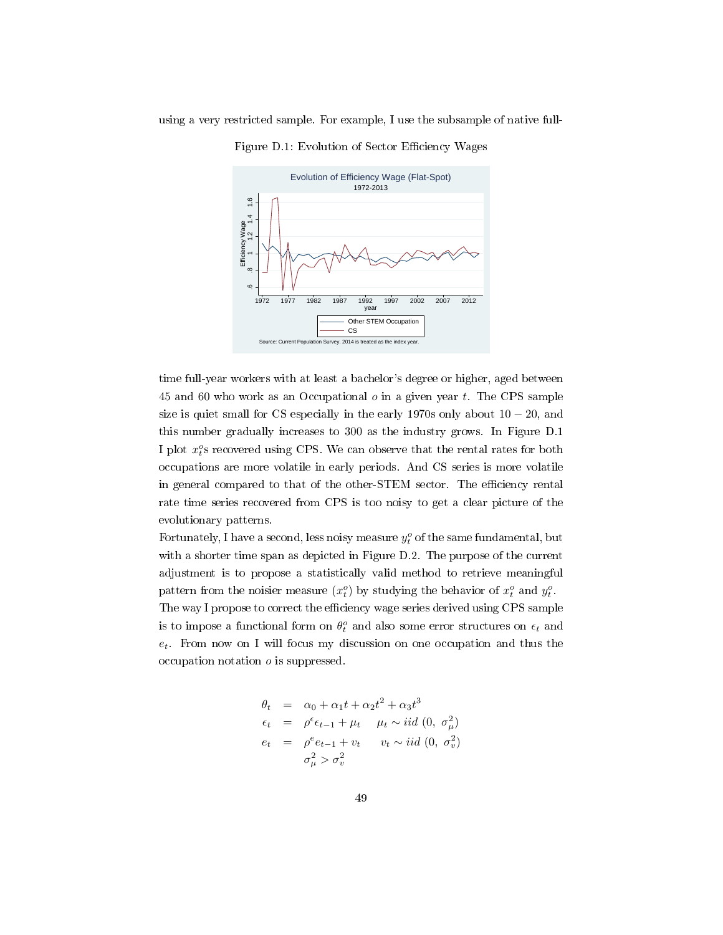

Figure D.1: Evolution of Sector Efficiency Wages

time full-year workers with at least a bachelor's degree or higher, aged between 45 and 60 who work as an Occupational  $o$  in a given year  $t$ . The CPS sample size is quiet small for CS especially in the early 1970s only about  $10 - 20$ , and this number gradually increases to 300 as the industry grows. In Figure D.1 I plot  $x_t^o$ s recovered using CPS. We can observe that the rental rates for both occupations are more volatile in early periods. And CS series is more volatile in general compared to that of the other-STEM sector. The efficiency rental rate time series recovered from CPS is too noisy to get a clear picture of the evolutionary patterns.

Fortunately, I have a second, less noisy measure  $y_t^o$  of the same fundamental, but with a shorter time span as depicted in Figure D.2. The purpose of the current adjustment is to propose a statistically valid method to retrieve meaningful pattern from the noisier measure  $(x_t^o)$  by studying the behavior of  $x_t^o$  and  $y_t^o$ . The way I propose to correct the efficiency wage series derived using CPS sample is to impose a functional form on  $\theta_t^o$  and also some error structures on  $\epsilon_t$  and

 $e_t$ . From now on I will focus my discussion on one occupation and thus the occupation notation  $o$  is suppressed.

$$
\theta_t = \alpha_0 + \alpha_1 t + \alpha_2 t^2 + \alpha_3 t^3
$$
  
\n
$$
\epsilon_t = \rho^{\epsilon} \epsilon_{t-1} + \mu_t \quad \mu_t \sim \text{iid } (0, \sigma^2_{\mu})
$$
  
\n
$$
e_t = \rho^e e_{t-1} + v_t \quad v_t \sim \text{iid } (0, \sigma^2_{\nu})
$$
  
\n
$$
\sigma^2_{\mu} > \sigma^2_{\nu}
$$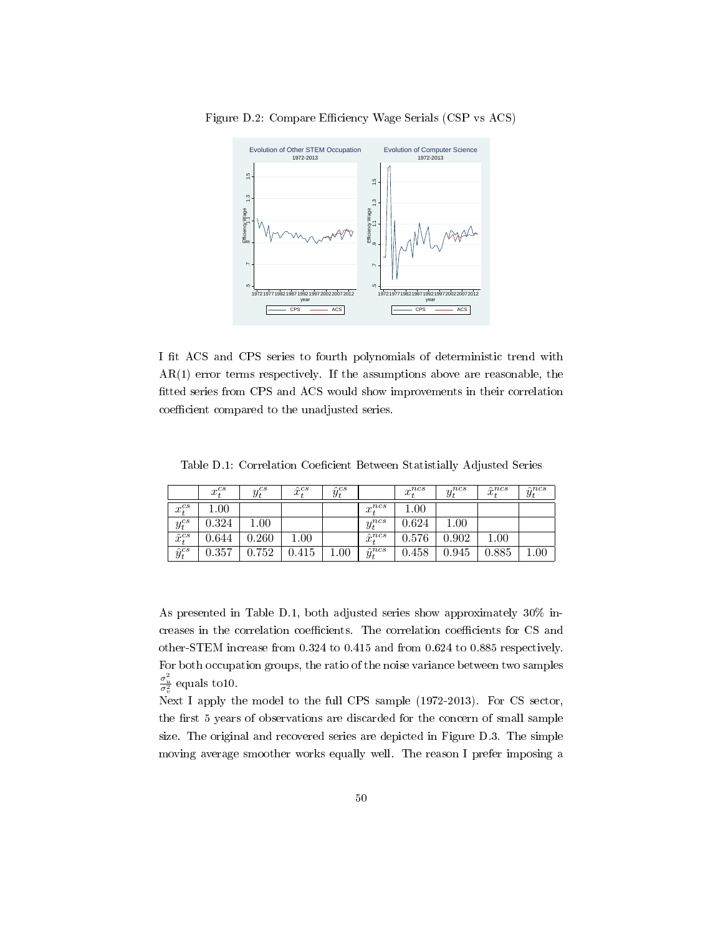

Figure D.2: Compare Efficiency Wage Serials (CSP vs ACS)

I fit ACS and CPS series to fourth polynomials of deterministic trend with AR(1) error terms respectively. If the assumptions above are reasonable, the fitted series from CPS and ACS would show improvements in their correlation coefficient compared to the unadjusted series.

Table D.1: Correlation Coeficient Between Statistially Adjusted Series

|                  | $x_t^{cs}$ | $y_t^{cs}$  | $\hat{x}_{t}^{cs}$ | $\hat{u}^{cs}$ |                   | $x_t^{ncs}$ | $y_t^{ncs}$ | $\hat{x}_t^{ncs}$ | $\hat{y}_t^{ncs}$ |
|------------------|------------|-------------|--------------------|----------------|-------------------|-------------|-------------|-------------------|-------------------|
| $x_t^{cs}$       | 00.1       |             |                    |                | $x_*^{ncs}$       | $1.00\,$    |             |                   |                   |
| $y_t^{cs}$       | 0.324      | $00 \ldots$ |                    |                | $y_t^{ncs}$       | 0.624       | $1.00\,$    |                   |                   |
| $\hat{x}_t^{cs}$ | 0.644      | 0.260       | $1.00\,$           |                | $\hat{x}_t^{ncs}$ | 0.576       | 0.902       | $1.00\,$          |                   |
| $\hat{y}_t^{cs}$ | 0.357      | 0.752       | 0.415              | 00.1           | $\hat{y}_t^{ncs}$ | 0.458       | 0.945       | 0.885             | $1.00\,$          |

As presented in Table D.1, both adjusted series show approximately 30% increases in the correlation coefficients. The correlation coefficients for CS and other-STEM increase from 0.324 to 0.415 and from 0.624 to 0.885 respectively. For both occupation groups, the ratio of the noise variance between two samples  $\frac{\sigma_u^2}{\sigma_v^2}$  equals to10.

Next I apply the model to the full CPS sample (1972-2013). For CS sector, the first 5 years of observations are discarded for the concern of small sample size. The original and recovered series are depicted in Figure D.3. The simple moving average smoother works equally well. The reason I prefer imposing a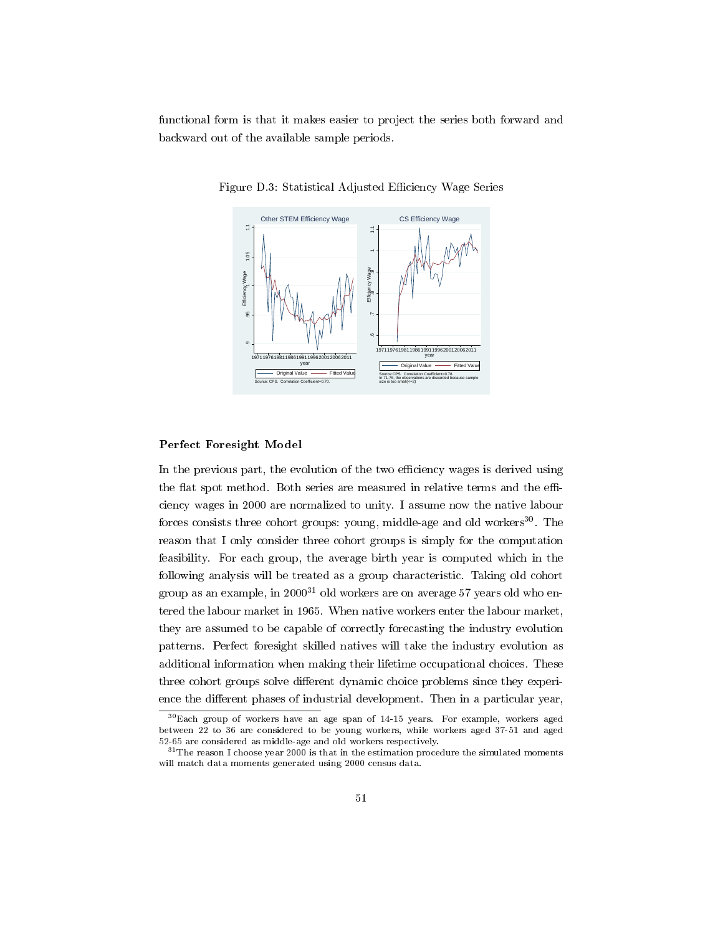functional form is that it makes easier to project the series both forward and backward out of the available sample periods.



Figure D.3: Statistical Adjusted Efficiency Wage Series

#### Perfect Foresight Model

In the previous part, the evolution of the two efficiency wages is derived using the flat spot method. Both series are measured in relative terms and the efficiency wages in 2000 are normalized to unity. I assume now the native labour forces consists three cohort groups: young, middle-age and old workers<sup>30</sup>. The reason that I only consider three cohort groups is simply for the computation feasibility. For each group, the average birth year is computed which in the following analysis will be treated as a group characteristic. Taking old cohort group as an example, in  $2000^{31}$  old workers are on average 57 years old who entered the labour market in 1965. When native workers enter the labour market, they are assumed to be capable of correctly forecasting the industry evolution patterns. Perfect foresight skilled natives will take the industry evolution as additional information when making their lifetime occupational choices. These three cohort groups solve different dynamic choice problems since they experience the different phases of industrial development. Then in a particular year,

<sup>30</sup>Each group of workers have an age span of 14-15 years. For example, workers aged between 22 to 36 are considered to be young workers, while workers aged 37-51 and aged 52-65 are considered as middle-age and old workers respectively.

 $31$ The reason I choose year 2000 is that in the estimation procedure the simulated moments will match data moments generated using 2000 census data.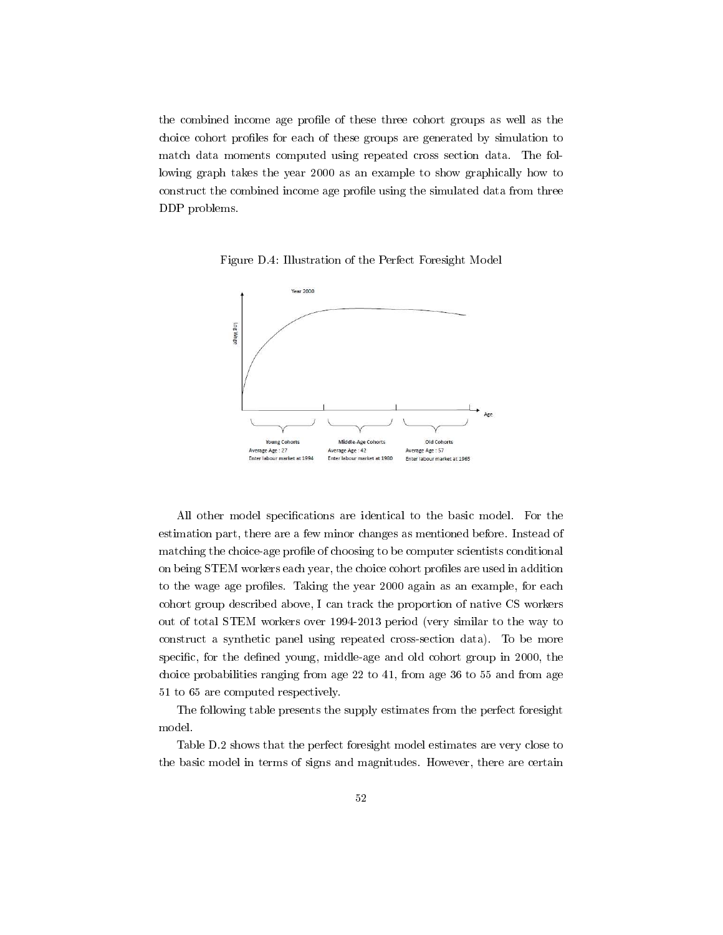the combined income age profile of these three cohort groups as well as the choice cohort profiles for each of these groups are generated by simulation to match data moments computed using repeated cross section data. The following graph takes the year 2000 as an example to show graphically how to construct the combined income age profile using the simulated data from three DDP problems.



Figure D.4: Illustration of the Perfect Foresight Model

All other model specifications are identical to the basic model. For the estimation part, there are a few minor changes as mentioned before. Instead of matching the choice-age profile of choosing to be computer scientists conditional on being STEM workers each year, the choice cohort profiles are used in addition to the wage age profiles. Taking the year 2000 again as an example, for each cohort group described above, I can track the proportion of native CS workers out of total STEM workers over 1994-2013 period (very similar to the way to construct a synthetic panel using repeated cross-section data). To be more specific, for the defined young, middle-age and old cohort group in 2000, the choice probabilities ranging from age 22 to 41, from age 36 to 55 and from age 51 to 65 are computed respectively.

The following table presents the supply estimates from the perfect foresight model.

Table D.2 shows that the perfect foresight model estimates are very close to the basic model in terms of signs and magnitudes. However, there are certain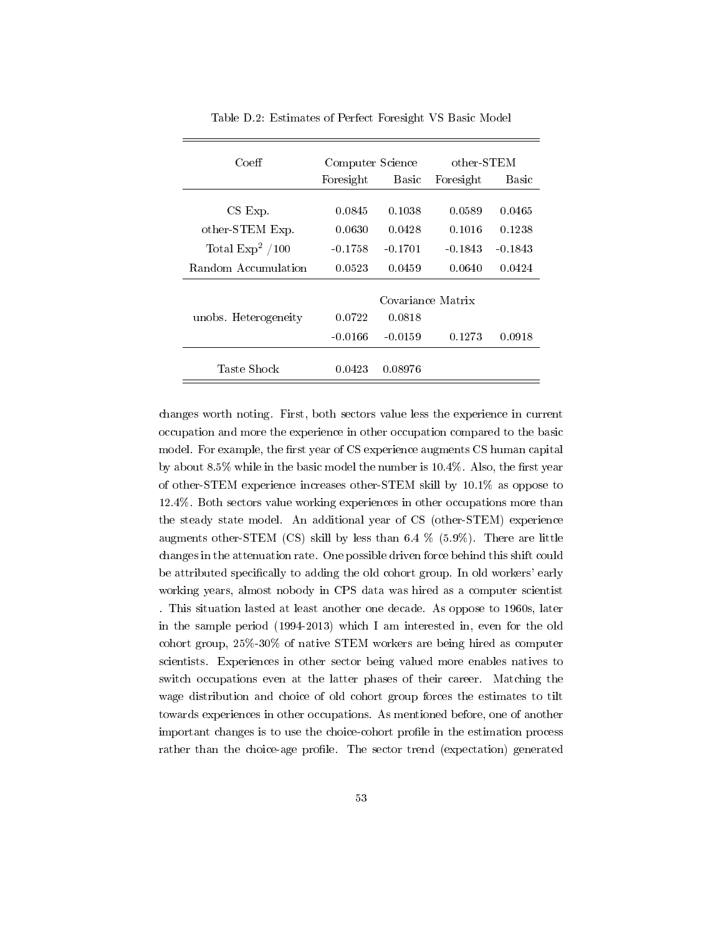| Coeff                | Computer Science |                   | other-STEM |           |
|----------------------|------------------|-------------------|------------|-----------|
|                      | Foresight        | Basic             | Foresight  | Basic     |
|                      |                  |                   |            |           |
| $CS$ $Exp$ .         | 0.0845           | 0.1038            | 0.0589     | 0.0465    |
| other-STEM Exp.      | 0.0630           | 0.0428            | 0.1016     | 0.1238    |
| Total $Exp^2 / 100$  | $-0.1758$        | $-0.1701$         | $-0.1843$  | $-0.1843$ |
| Random Accumulation  | 0.0523           | 0.0459            | 0.0640     | 0.0424    |
|                      |                  |                   |            |           |
|                      |                  | Covariance Matrix |            |           |
| unobs. Heterogeneity | 0.0722           | 0.0818            |            |           |
|                      | $-0.0166$        | $-0.0159$         | 0.1273     | 0.0918    |
| Taste Shock          | 0.0423           | 0.08976           |            |           |

Table D.2: Estimates of Perfect Foresight VS Basic Model

changes worth noting. First, both sectors value less the experience in current occupation and more the experience in other occupation compared to the basic model. For example, the first year of CS experience augments CS human capital by about 8.5% while in the basic model the number is 10.4%. Also, the first year of other-STEM experience increases other-STEM skill by 10.1% as oppose to 12.4%. Both sectors value working experiences in other occupations more than the steady state model. An additional year of CS (other-STEM) experience augments other-STEM (CS) skill by less than 6.4 % (5.9%). There are little changes in the attenuation rate. One possible driven force behind this shift could be attributed specifically to adding the old cohort group. In old workers' early working years, almost nobody in CPS data was hired as a computer scientist . This situation lasted at least another one decade. As oppose to 1960s, later in the sample period (1994-2013) which I am interested in, even for the old cohort group, 25%-30% of native STEM workers are being hired as computer scientists. Experiences in other sector being valued more enables natives to switch occupations even at the latter phases of their career. Matching the wage distribution and choice of old cohort group forces the estimates to tilt towards experiences in other occupations. As mentioned before, one of another important changes is to use the choice-cohort profile in the estimation process rather than the choice-age profile. The sector trend (expectation) generated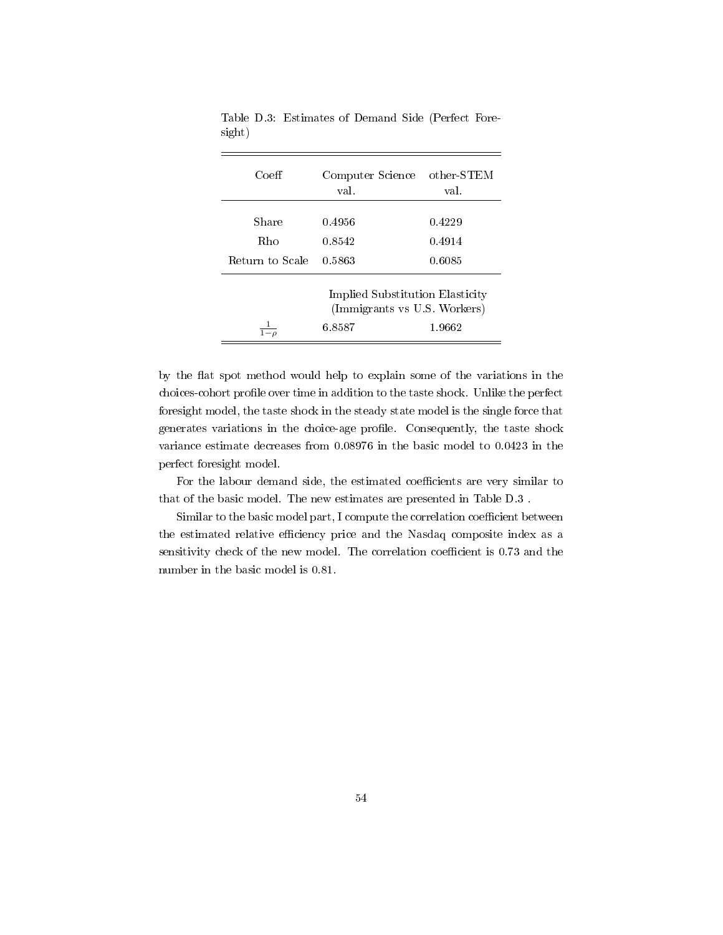| Coeff           | Computer Science<br>val.                                                            | $other-STEM$<br>val. |  |
|-----------------|-------------------------------------------------------------------------------------|----------------------|--|
| Share           | 0.4956                                                                              | 0.4229               |  |
| Rho             | 0.8542                                                                              | 0.4914               |  |
| Return to Scale | 0.5863                                                                              | 0.6085               |  |
|                 | Implied Substitution Elasticity<br>(Immigrants vs U.S. Workers)<br>1.9662<br>6.8587 |                      |  |

Table D.3: Estimates of Demand Side (Perfect Foresight)

by the flat spot method would help to explain some of the variations in the choices-cohort profile over time in addition to the taste shock. Unlike the perfect foresight model, the taste shock in the steady state model is the single force that generates variations in the choice-age profile. Consequently, the taste shock variance estimate decreases from 0.08976 in the basic model to 0.0423 in the perfect foresight model.

For the labour demand side, the estimated coefficients are very similar to that of the basic model. The new estimates are presented in Table D.3 .

Similar to the basic model part, I compute the correlation coefficient between the estimated relative efficiency price and the Nasdaq composite index as a sensitivity check of the new model. The correlation coefficient is 0.73 and the number in the basic model is 0.81.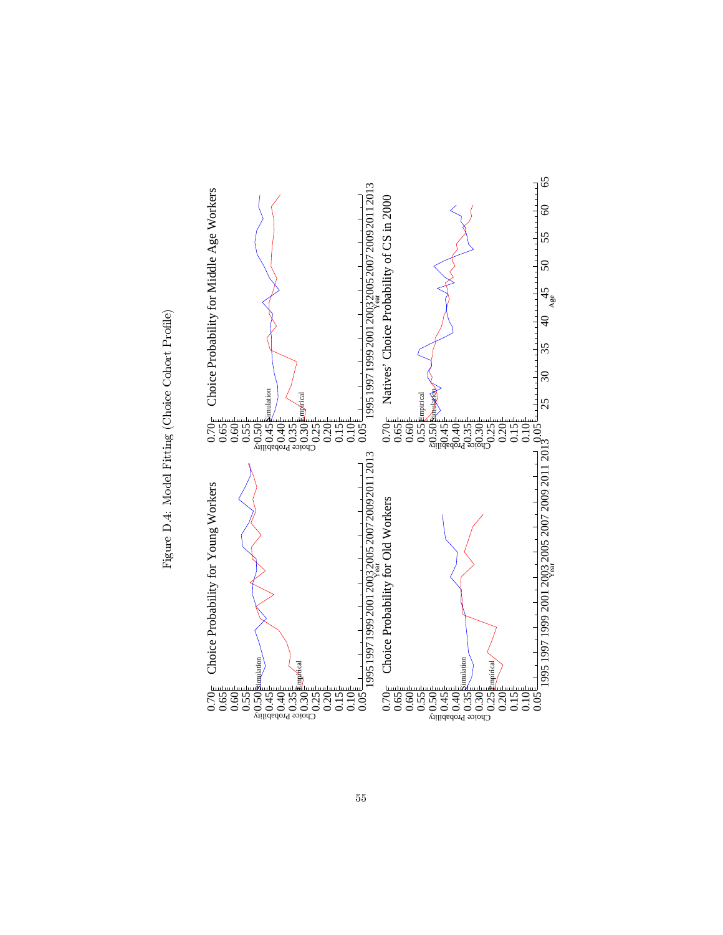

Figure D.4: Model Fitting (Choice Cohort Profile) Figure D.4: Model Fitting (Choice Cohort Profile)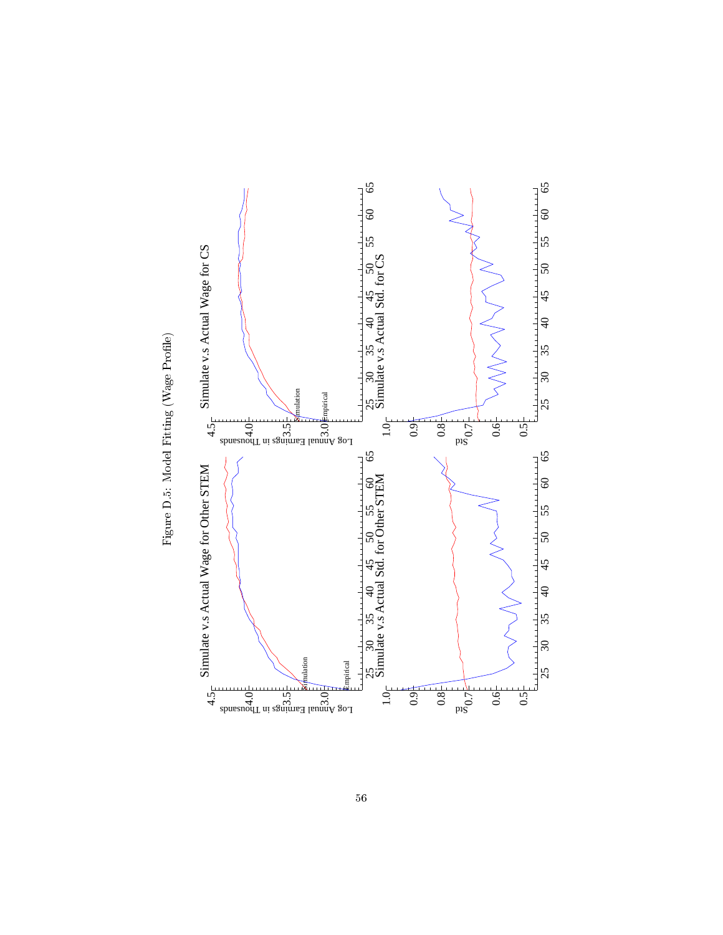

Figure D.5: Model Fitting (Wage Profile) Figure D.5: Model Fitting (Wage Profile)